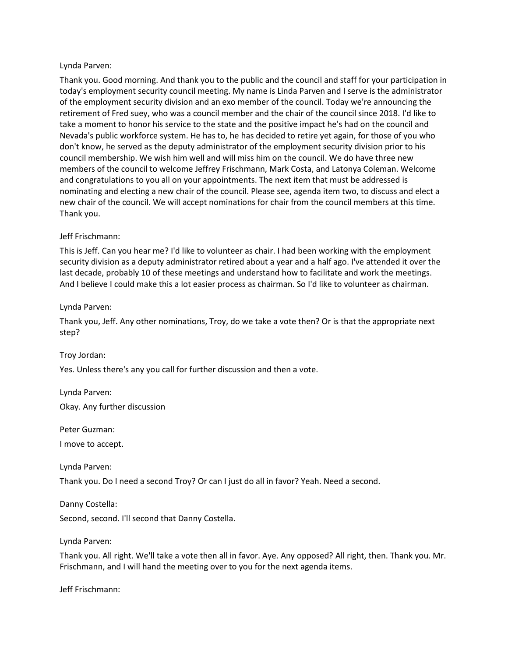## Lynda Parven:

Thank you. Good morning. And thank you to the public and the council and staff for your participation in today's employment security council meeting. My name is Linda Parven and I serve is the administrator of the employment security division and an exo member of the council. Today we're announcing the retirement of Fred suey, who was a council member and the chair of the council since 2018. I'd like to take a moment to honor his service to the state and the positive impact he's had on the council and Nevada's public workforce system. He has to, he has decided to retire yet again, for those of you who don't know, he served as the deputy administrator of the employment security division prior to his council membership. We wish him well and will miss him on the council. We do have three new members of the council to welcome Jeffrey Frischmann, Mark Costa, and Latonya Coleman. Welcome and congratulations to you all on your appointments. The next item that must be addressed is nominating and electing a new chair of the council. Please see, agenda item two, to discuss and elect a new chair of the council. We will accept nominations for chair from the council members at this time. Thank you.

## Jeff Frischmann:

This is Jeff. Can you hear me? I'd like to volunteer as chair. I had been working with the employment security division as a deputy administrator retired about a year and a half ago. I've attended it over the last decade, probably 10 of these meetings and understand how to facilitate and work the meetings. And I believe I could make this a lot easier process as chairman. So I'd like to volunteer as chairman.

## Lynda Parven:

Thank you, Jeff. Any other nominations, Troy, do we take a vote then? Or is that the appropriate next step?

Troy Jordan:

Yes. Unless there's any you call for further discussion and then a vote.

Lynda Parven:

Okay. Any further discussion

Peter Guzman:

I move to accept.

Lynda Parven:

Thank you. Do I need a second Troy? Or can I just do all in favor? Yeah. Need a second.

Danny Costella:

Second, second. I'll second that Danny Costella.

Lynda Parven:

Thank you. All right. We'll take a vote then all in favor. Aye. Any opposed? All right, then. Thank you. Mr. Frischmann, and I will hand the meeting over to you for the next agenda items.

Jeff Frischmann: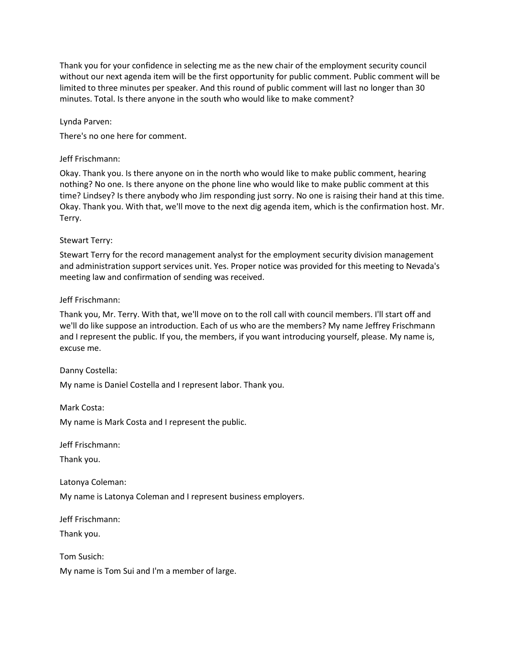Thank you for your confidence in selecting me as the new chair of the employment security council without our next agenda item will be the first opportunity for public comment. Public comment will be limited to three minutes per speaker. And this round of public comment will last no longer than 30 minutes. Total. Is there anyone in the south who would like to make comment?

Lynda Parven:

There's no one here for comment.

#### Jeff Frischmann:

Okay. Thank you. Is there anyone on in the north who would like to make public comment, hearing nothing? No one. Is there anyone on the phone line who would like to make public comment at this time? Lindsey? Is there anybody who Jim responding just sorry. No one is raising their hand at this time. Okay. Thank you. With that, we'll move to the next dig agenda item, which is the confirmation host. Mr. Terry.

## Stewart Terry:

Stewart Terry for the record management analyst for the employment security division management and administration support services unit. Yes. Proper notice was provided for this meeting to Nevada's meeting law and confirmation of sending was received.

## Jeff Frischmann:

Thank you, Mr. Terry. With that, we'll move on to the roll call with council members. I'll start off and we'll do like suppose an introduction. Each of us who are the members? My name Jeffrey Frischmann and I represent the public. If you, the members, if you want introducing yourself, please. My name is, excuse me.

#### Danny Costella:

My name is Daniel Costella and I represent labor. Thank you.

Mark Costa:

My name is Mark Costa and I represent the public.

Jeff Frischmann:

Thank you.

Latonya Coleman:

My name is Latonya Coleman and I represent business employers.

Jeff Frischmann:

Thank you.

Tom Susich:

My name is Tom Sui and I'm a member of large.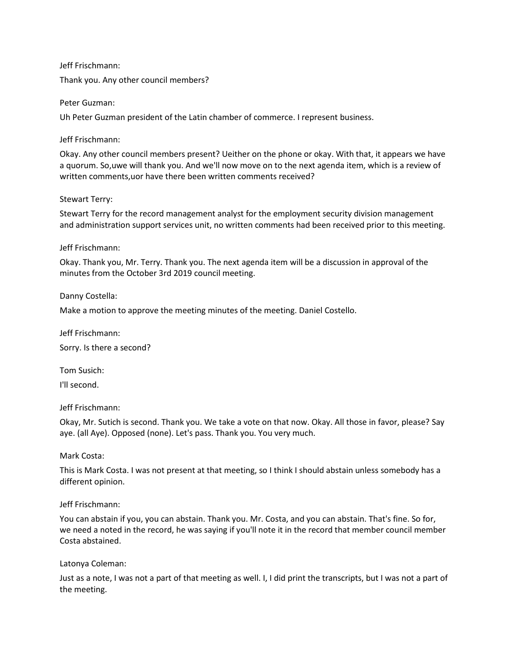Jeff Frischmann:

Thank you. Any other council members?

Peter Guzman:

Uh Peter Guzman president of the Latin chamber of commerce. I represent business.

## Jeff Frischmann:

Okay. Any other council members present? Ueither on the phone or okay. With that, it appears we have a quorum. So,uwe will thank you. And we'll now move on to the next agenda item, which is a review of written comments,uor have there been written comments received?

## Stewart Terry:

Stewart Terry for the record management analyst for the employment security division management and administration support services unit, no written comments had been received prior to this meeting.

## Jeff Frischmann:

Okay. Thank you, Mr. Terry. Thank you. The next agenda item will be a discussion in approval of the minutes from the October 3rd 2019 council meeting.

## Danny Costella:

Make a motion to approve the meeting minutes of the meeting. Daniel Costello.

Jeff Frischmann: Sorry. Is there a second?

Tom Susich:

I'll second.

#### Jeff Frischmann:

Okay, Mr. Sutich is second. Thank you. We take a vote on that now. Okay. All those in favor, please? Say aye. (all Aye). Opposed (none). Let's pass. Thank you. You very much.

# Mark Costa:

This is Mark Costa. I was not present at that meeting, so I think I should abstain unless somebody has a different opinion.

# Jeff Frischmann:

You can abstain if you, you can abstain. Thank you. Mr. Costa, and you can abstain. That's fine. So for, we need a noted in the record, he was saying if you'll note it in the record that member council member Costa abstained.

#### Latonya Coleman:

Just as a note, I was not a part of that meeting as well. I, I did print the transcripts, but I was not a part of the meeting.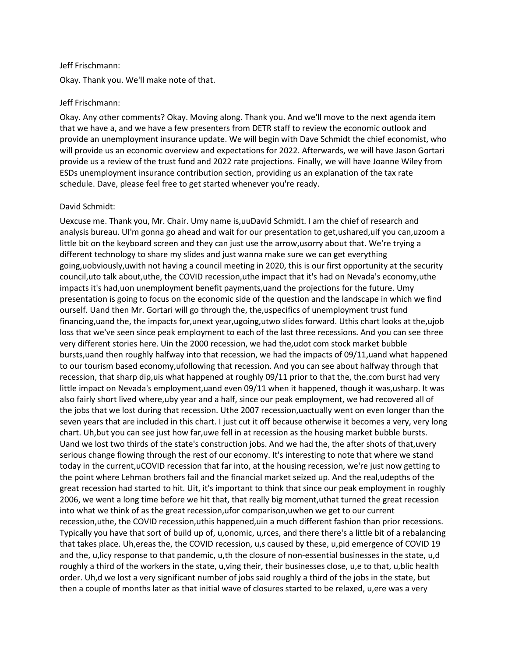#### Jeff Frischmann:

Okay. Thank you. We'll make note of that.

#### Jeff Frischmann:

Okay. Any other comments? Okay. Moving along. Thank you. And we'll move to the next agenda item that we have a, and we have a few presenters from DETR staff to review the economic outlook and provide an unemployment insurance update. We will begin with Dave Schmidt the chief economist, who will provide us an economic overview and expectations for 2022. Afterwards, we will have Jason Gortari provide us a review of the trust fund and 2022 rate projections. Finally, we will have Joanne Wiley from ESDs unemployment insurance contribution section, providing us an explanation of the tax rate schedule. Dave, please feel free to get started whenever you're ready.

#### David Schmidt:

Uexcuse me. Thank you, Mr. Chair. Umy name is,uuDavid Schmidt. I am the chief of research and analysis bureau. UI'm gonna go ahead and wait for our presentation to get,ushared,uif you can,uzoom a little bit on the keyboard screen and they can just use the arrow,usorry about that. We're trying a different technology to share my slides and just wanna make sure we can get everything going,uobviously,uwith not having a council meeting in 2020, this is our first opportunity at the security council,uto talk about,uthe, the COVID recession,uthe impact that it's had on Nevada's economy,uthe impacts it's had,uon unemployment benefit payments,uand the projections for the future. Umy presentation is going to focus on the economic side of the question and the landscape in which we find ourself. Uand then Mr. Gortari will go through the, the,uspecifics of unemployment trust fund financing,uand the, the impacts for,unext year,ugoing,utwo slides forward. Uthis chart looks at the,ujob loss that we've seen since peak employment to each of the last three recessions. And you can see three very different stories here. Uin the 2000 recession, we had the,udot com stock market bubble bursts,uand then roughly halfway into that recession, we had the impacts of 09/11,uand what happened to our tourism based economy,ufollowing that recession. And you can see about halfway through that recession, that sharp dip,uis what happened at roughly 09/11 prior to that the, the.com burst had very little impact on Nevada's employment,uand even 09/11 when it happened, though it was,usharp. It was also fairly short lived where,uby year and a half, since our peak employment, we had recovered all of the jobs that we lost during that recession. Uthe 2007 recession,uactually went on even longer than the seven years that are included in this chart. I just cut it off because otherwise it becomes a very, very long chart. Uh,but you can see just how far,uwe fell in at recession as the housing market bubble bursts. Uand we lost two thirds of the state's construction jobs. And we had the, the after shots of that,uvery serious change flowing through the rest of our economy. It's interesting to note that where we stand today in the current,uCOVID recession that far into, at the housing recession, we're just now getting to the point where Lehman brothers fail and the financial market seized up. And the real,udepths of the great recession had started to hit. Uit, it's important to think that since our peak employment in roughly 2006, we went a long time before we hit that, that really big moment,uthat turned the great recession into what we think of as the great recession,ufor comparison,uwhen we get to our current recession,uthe, the COVID recession,uthis happened,uin a much different fashion than prior recessions. Typically you have that sort of build up of, u,onomic, u,rces, and there there's a little bit of a rebalancing that takes place. Uh,ereas the, the COVID recession, u,s caused by these, u,pid emergence of COVID 19 and the, u,licy response to that pandemic, u,th the closure of non-essential businesses in the state, u,d roughly a third of the workers in the state, u,ving their, their businesses close, u,e to that, u,blic health order. Uh,d we lost a very significant number of jobs said roughly a third of the jobs in the state, but then a couple of months later as that initial wave of closures started to be relaxed, u,ere was a very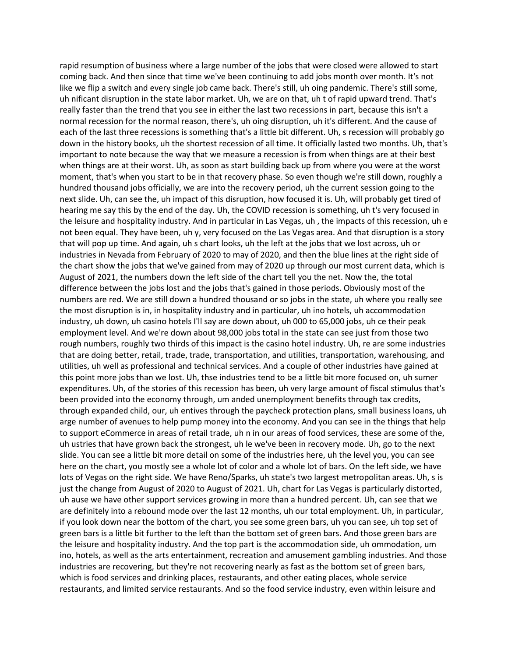rapid resumption of business where a large number of the jobs that were closed were allowed to start coming back. And then since that time we've been continuing to add jobs month over month. It's not like we flip a switch and every single job came back. There's still, uh oing pandemic. There's still some, uh nificant disruption in the state labor market. Uh, we are on that, uh t of rapid upward trend. That's really faster than the trend that you see in either the last two recessions in part, because this isn't a normal recession for the normal reason, there's, uh oing disruption, uh it's different. And the cause of each of the last three recessions is something that's a little bit different. Uh, s recession will probably go down in the history books, uh the shortest recession of all time. It officially lasted two months. Uh, that's important to note because the way that we measure a recession is from when things are at their best when things are at their worst. Uh, as soon as start building back up from where you were at the worst moment, that's when you start to be in that recovery phase. So even though we're still down, roughly a hundred thousand jobs officially, we are into the recovery period, uh the current session going to the next slide. Uh, can see the, uh impact of this disruption, how focused it is. Uh, will probably get tired of hearing me say this by the end of the day. Uh, the COVID recession is something, uh t's very focused in the leisure and hospitality industry. And in particular in Las Vegas, uh , the impacts of this recession, uh e not been equal. They have been, uh y, very focused on the Las Vegas area. And that disruption is a story that will pop up time. And again, uh s chart looks, uh the left at the jobs that we lost across, uh or industries in Nevada from February of 2020 to may of 2020, and then the blue lines at the right side of the chart show the jobs that we've gained from may of 2020 up through our most current data, which is August of 2021, the numbers down the left side of the chart tell you the net. Now the, the total difference between the jobs lost and the jobs that's gained in those periods. Obviously most of the numbers are red. We are still down a hundred thousand or so jobs in the state, uh where you really see the most disruption is in, in hospitality industry and in particular, uh ino hotels, uh accommodation industry, uh down, uh casino hotels I'll say are down about, uh 000 to 65,000 jobs, uh ce their peak employment level. And we're down about 98,000 jobs total in the state can see just from those two rough numbers, roughly two thirds of this impact is the casino hotel industry. Uh, re are some industries that are doing better, retail, trade, trade, transportation, and utilities, transportation, warehousing, and utilities, uh well as professional and technical services. And a couple of other industries have gained at this point more jobs than we lost. Uh, thse industries tend to be a little bit more focused on, uh sumer expenditures. Uh, of the stories of this recession has been, uh very large amount of fiscal stimulus that's been provided into the economy through, um anded unemployment benefits through tax credits, through expanded child, our, uh entives through the paycheck protection plans, small business loans, uh arge number of avenues to help pump money into the economy. And you can see in the things that help to support eCommerce in areas of retail trade, uh n in our areas of food services, these are some of the, uh ustries that have grown back the strongest, uh le we've been in recovery mode. Uh, go to the next slide. You can see a little bit more detail on some of the industries here, uh the level you, you can see here on the chart, you mostly see a whole lot of color and a whole lot of bars. On the left side, we have lots of Vegas on the right side. We have Reno/Sparks, uh state's two largest metropolitan areas. Uh, s is just the change from August of 2020 to August of 2021. Uh, chart for Las Vegas is particularly distorted, uh ause we have other support services growing in more than a hundred percent. Uh, can see that we are definitely into a rebound mode over the last 12 months, uh our total employment. Uh, in particular, if you look down near the bottom of the chart, you see some green bars, uh you can see, uh top set of green bars is a little bit further to the left than the bottom set of green bars. And those green bars are the leisure and hospitality industry. And the top part is the accommodation side, uh ommodation, um ino, hotels, as well as the arts entertainment, recreation and amusement gambling industries. And those industries are recovering, but they're not recovering nearly as fast as the bottom set of green bars, which is food services and drinking places, restaurants, and other eating places, whole service restaurants, and limited service restaurants. And so the food service industry, even within leisure and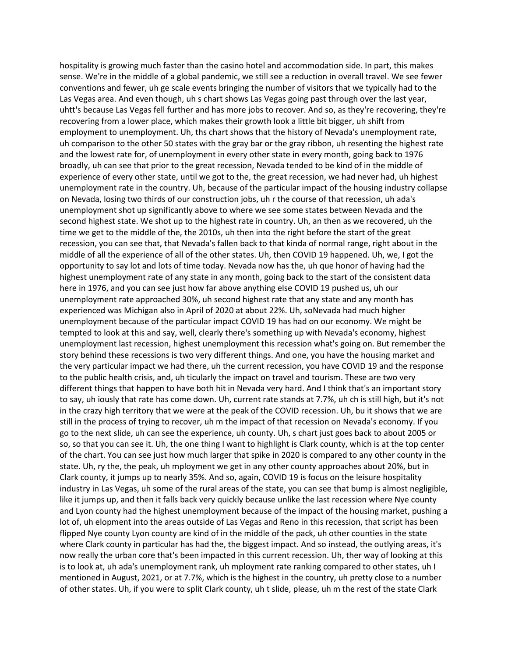hospitality is growing much faster than the casino hotel and accommodation side. In part, this makes sense. We're in the middle of a global pandemic, we still see a reduction in overall travel. We see fewer conventions and fewer, uh ge scale events bringing the number of visitors that we typically had to the Las Vegas area. And even though, uh s chart shows Las Vegas going past through over the last year, uhtt's because Las Vegas fell further and has more jobs to recover. And so, as they're recovering, they're recovering from a lower place, which makes their growth look a little bit bigger, uh shift from employment to unemployment. Uh, ths chart shows that the history of Nevada's unemployment rate, uh comparison to the other 50 states with the gray bar or the gray ribbon, uh resenting the highest rate and the lowest rate for, of unemployment in every other state in every month, going back to 1976 broadly, uh can see that prior to the great recession, Nevada tended to be kind of in the middle of experience of every other state, until we got to the, the great recession, we had never had, uh highest unemployment rate in the country. Uh, because of the particular impact of the housing industry collapse on Nevada, losing two thirds of our construction jobs, uh r the course of that recession, uh ada's unemployment shot up significantly above to where we see some states between Nevada and the second highest state. We shot up to the highest rate in country. Uh, an then as we recovered, uh the time we get to the middle of the, the 2010s, uh then into the right before the start of the great recession, you can see that, that Nevada's fallen back to that kinda of normal range, right about in the middle of all the experience of all of the other states. Uh, then COVID 19 happened. Uh, we, I got the opportunity to say lot and lots of time today. Nevada now has the, uh que honor of having had the highest unemployment rate of any state in any month, going back to the start of the consistent data here in 1976, and you can see just how far above anything else COVID 19 pushed us, uh our unemployment rate approached 30%, uh second highest rate that any state and any month has experienced was Michigan also in April of 2020 at about 22%. Uh, soNevada had much higher unemployment because of the particular impact COVID 19 has had on our economy. We might be tempted to look at this and say, well, clearly there's something up with Nevada's economy, highest unemployment last recession, highest unemployment this recession what's going on. But remember the story behind these recessions is two very different things. And one, you have the housing market and the very particular impact we had there, uh the current recession, you have COVID 19 and the response to the public health crisis, and, uh ticularly the impact on travel and tourism. These are two very different things that happen to have both hit in Nevada very hard. And I think that's an important story to say, uh iously that rate has come down. Uh, current rate stands at 7.7%, uh ch is still high, but it's not in the crazy high territory that we were at the peak of the COVID recession. Uh, bu it shows that we are still in the process of trying to recover, uh m the impact of that recession on Nevada's economy. If you go to the next slide, uh can see the experience, uh county. Uh, s chart just goes back to about 2005 or so, so that you can see it. Uh, the one thing I want to highlight is Clark county, which is at the top center of the chart. You can see just how much larger that spike in 2020 is compared to any other county in the state. Uh, ry the, the peak, uh mployment we get in any other county approaches about 20%, but in Clark county, it jumps up to nearly 35%. And so, again, COVID 19 is focus on the leisure hospitality industry in Las Vegas, uh some of the rural areas of the state, you can see that bump is almost negligible, like it jumps up, and then it falls back very quickly because unlike the last recession where Nye county and Lyon county had the highest unemployment because of the impact of the housing market, pushing a lot of, uh elopment into the areas outside of Las Vegas and Reno in this recession, that script has been flipped Nye county Lyon county are kind of in the middle of the pack, uh other counties in the state where Clark county in particular has had the, the biggest impact. And so instead, the outlying areas, it's now really the urban core that's been impacted in this current recession. Uh, ther way of looking at this is to look at, uh ada's unemployment rank, uh mployment rate ranking compared to other states, uh I mentioned in August, 2021, or at 7.7%, which is the highest in the country, uh pretty close to a number of other states. Uh, if you were to split Clark county, uh t slide, please, uh m the rest of the state Clark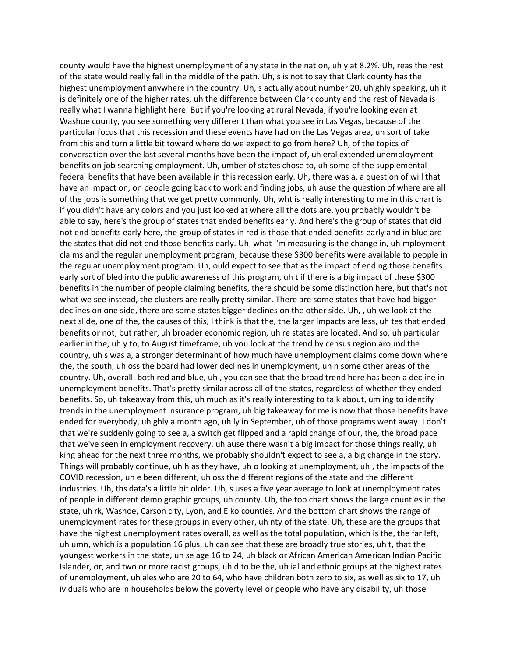county would have the highest unemployment of any state in the nation, uh y at 8.2%. Uh, reas the rest of the state would really fall in the middle of the path. Uh, s is not to say that Clark county has the highest unemployment anywhere in the country. Uh, s actually about number 20, uh ghly speaking, uh it is definitely one of the higher rates, uh the difference between Clark county and the rest of Nevada is really what I wanna highlight here. But if you're looking at rural Nevada, if you're looking even at Washoe county, you see something very different than what you see in Las Vegas, because of the particular focus that this recession and these events have had on the Las Vegas area, uh sort of take from this and turn a little bit toward where do we expect to go from here? Uh, of the topics of conversation over the last several months have been the impact of, uh eral extended unemployment benefits on job searching employment. Uh, umber of states chose to, uh some of the supplemental federal benefits that have been available in this recession early. Uh, there was a, a question of will that have an impact on, on people going back to work and finding jobs, uh ause the question of where are all of the jobs is something that we get pretty commonly. Uh, wht is really interesting to me in this chart is if you didn't have any colors and you just looked at where all the dots are, you probably wouldn't be able to say, here's the group of states that ended benefits early. And here's the group of states that did not end benefits early here, the group of states in red is those that ended benefits early and in blue are the states that did not end those benefits early. Uh, what I'm measuring is the change in, uh mployment claims and the regular unemployment program, because these \$300 benefits were available to people in the regular unemployment program. Uh, ould expect to see that as the impact of ending those benefits early sort of bled into the public awareness of this program, uh t if there is a big impact of these \$300 benefits in the number of people claiming benefits, there should be some distinction here, but that's not what we see instead, the clusters are really pretty similar. There are some states that have had bigger declines on one side, there are some states bigger declines on the other side. Uh, , uh we look at the next slide, one of the, the causes of this, I think is that the, the larger impacts are less, uh tes that ended benefits or not, but rather, uh broader economic region, uh re states are located. And so, uh particular earlier in the, uh y to, to August timeframe, uh you look at the trend by census region around the country, uh s was a, a stronger determinant of how much have unemployment claims come down where the, the south, uh oss the board had lower declines in unemployment, uh n some other areas of the country. Uh, overall, both red and blue, uh , you can see that the broad trend here has been a decline in unemployment benefits. That's pretty similar across all of the states, regardless of whether they ended benefits. So, uh takeaway from this, uh much as it's really interesting to talk about, um ing to identify trends in the unemployment insurance program, uh big takeaway for me is now that those benefits have ended for everybody, uh ghly a month ago, uh ly in September, uh of those programs went away. I don't that we're suddenly going to see a, a switch get flipped and a rapid change of our, the, the broad pace that we've seen in employment recovery, uh ause there wasn't a big impact for those things really, uh king ahead for the next three months, we probably shouldn't expect to see a, a big change in the story. Things will probably continue, uh h as they have, uh o looking at unemployment, uh , the impacts of the COVID recession, uh e been different, uh oss the different regions of the state and the different industries. Uh, ths data's a little bit older. Uh, s uses a five year average to look at unemployment rates of people in different demo graphic groups, uh county. Uh, the top chart shows the large counties in the state, uh rk, Washoe, Carson city, Lyon, and Elko counties. And the bottom chart shows the range of unemployment rates for these groups in every other, uh nty of the state. Uh, these are the groups that have the highest unemployment rates overall, as well as the total population, which is the, the far left, uh umn, which is a population 16 plus, uh can see that these are broadly true stories, uh t, that the youngest workers in the state, uh se age 16 to 24, uh black or African American American Indian Pacific Islander, or, and two or more racist groups, uh d to be the, uh ial and ethnic groups at the highest rates of unemployment, uh ales who are 20 to 64, who have children both zero to six, as well as six to 17, uh ividuals who are in households below the poverty level or people who have any disability, uh those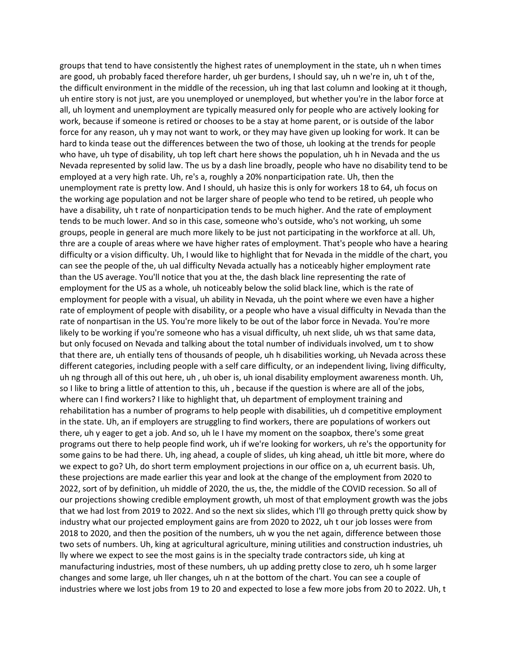groups that tend to have consistently the highest rates of unemployment in the state, uh n when times are good, uh probably faced therefore harder, uh ger burdens, I should say, uh n we're in, uh t of the, the difficult environment in the middle of the recession, uh ing that last column and looking at it though, uh entire story is not just, are you unemployed or unemployed, but whether you're in the labor force at all, uh loyment and unemployment are typically measured only for people who are actively looking for work, because if someone is retired or chooses to be a stay at home parent, or is outside of the labor force for any reason, uh y may not want to work, or they may have given up looking for work. It can be hard to kinda tease out the differences between the two of those, uh looking at the trends for people who have, uh type of disability, uh top left chart here shows the population, uh h in Nevada and the us Nevada represented by solid law. The us by a dash line broadly, people who have no disability tend to be employed at a very high rate. Uh, re's a, roughly a 20% nonparticipation rate. Uh, then the unemployment rate is pretty low. And I should, uh hasize this is only for workers 18 to 64, uh focus on the working age population and not be larger share of people who tend to be retired, uh people who have a disability, uh t rate of nonparticipation tends to be much higher. And the rate of employment tends to be much lower. And so in this case, someone who's outside, who's not working, uh some groups, people in general are much more likely to be just not participating in the workforce at all. Uh, thre are a couple of areas where we have higher rates of employment. That's people who have a hearing difficulty or a vision difficulty. Uh, I would like to highlight that for Nevada in the middle of the chart, you can see the people of the, uh ual difficulty Nevada actually has a noticeably higher employment rate than the US average. You'll notice that you at the, the dash black line representing the rate of employment for the US as a whole, uh noticeably below the solid black line, which is the rate of employment for people with a visual, uh ability in Nevada, uh the point where we even have a higher rate of employment of people with disability, or a people who have a visual difficulty in Nevada than the rate of nonpartisan in the US. You're more likely to be out of the labor force in Nevada. You're more likely to be working if you're someone who has a visual difficulty, uh next slide, uh ws that same data, but only focused on Nevada and talking about the total number of individuals involved, um t to show that there are, uh entially tens of thousands of people, uh h disabilities working, uh Nevada across these different categories, including people with a self care difficulty, or an independent living, living difficulty, uh ng through all of this out here, uh , uh ober is, uh ional disability employment awareness month. Uh, so I like to bring a little of attention to this, uh , because if the question is where are all of the jobs, where can I find workers? I like to highlight that, uh department of employment training and rehabilitation has a number of programs to help people with disabilities, uh d competitive employment in the state. Uh, an if employers are struggling to find workers, there are populations of workers out there, uh y eager to get a job. And so, uh le I have my moment on the soapbox, there's some great programs out there to help people find work, uh if we're looking for workers, uh re's the opportunity for some gains to be had there. Uh, ing ahead, a couple of slides, uh king ahead, uh ittle bit more, where do we expect to go? Uh, do short term employment projections in our office on a, uh ecurrent basis. Uh, these projections are made earlier this year and look at the change of the employment from 2020 to 2022, sort of by definition, uh middle of 2020, the us, the, the middle of the COVID recession. So all of our projections showing credible employment growth, uh most of that employment growth was the jobs that we had lost from 2019 to 2022. And so the next six slides, which I'll go through pretty quick show by industry what our projected employment gains are from 2020 to 2022, uh t our job losses were from 2018 to 2020, and then the position of the numbers, uh w you the net again, difference between those two sets of numbers. Uh, king at agricultural agriculture, mining utilities and construction industries, uh lly where we expect to see the most gains is in the specialty trade contractors side, uh king at manufacturing industries, most of these numbers, uh up adding pretty close to zero, uh h some larger changes and some large, uh ller changes, uh n at the bottom of the chart. You can see a couple of industries where we lost jobs from 19 to 20 and expected to lose a few more jobs from 20 to 2022. Uh, t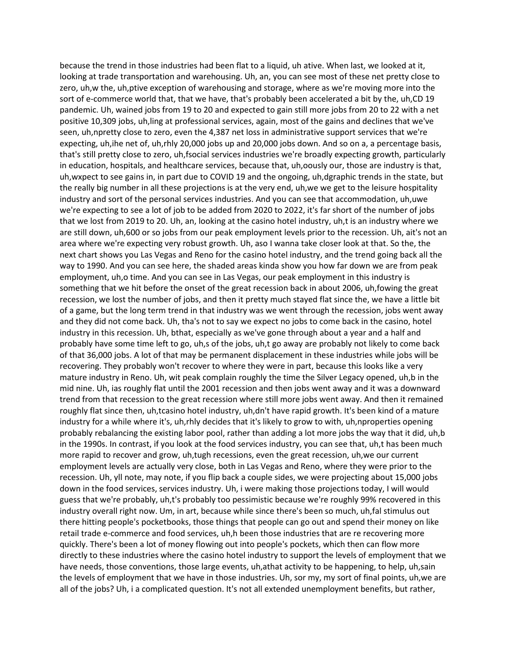because the trend in those industries had been flat to a liquid, uh ative. When last, we looked at it, looking at trade transportation and warehousing. Uh, an, you can see most of these net pretty close to zero, uh,w the, uh,ptive exception of warehousing and storage, where as we're moving more into the sort of e-commerce world that, that we have, that's probably been accelerated a bit by the, uh,CD 19 pandemic. Uh, wained jobs from 19 to 20 and expected to gain still more jobs from 20 to 22 with a net positive 10,309 jobs, uh,ling at professional services, again, most of the gains and declines that we've seen, uh,npretty close to zero, even the 4,387 net loss in administrative support services that we're expecting, uh,ihe net of, uh,rhly 20,000 jobs up and 20,000 jobs down. And so on a, a percentage basis, that's still pretty close to zero, uh,fsocial services industries we're broadly expecting growth, particularly in education, hospitals, and healthcare services, because that, uh,oously our, those are industry is that, uh,wxpect to see gains in, in part due to COVID 19 and the ongoing, uh,dgraphic trends in the state, but the really big number in all these projections is at the very end, uh,we we get to the leisure hospitality industry and sort of the personal services industries. And you can see that accommodation, uh,uwe we're expecting to see a lot of job to be added from 2020 to 2022, it's far short of the number of jobs that we lost from 2019 to 20. Uh, an, looking at the casino hotel industry, uh,t is an industry where we are still down, uh,600 or so jobs from our peak employment levels prior to the recession. Uh, ait's not an area where we're expecting very robust growth. Uh, aso I wanna take closer look at that. So the, the next chart shows you Las Vegas and Reno for the casino hotel industry, and the trend going back all the way to 1990. And you can see here, the shaded areas kinda show you how far down we are from peak employment, uh,o time. And you can see in Las Vegas, our peak employment in this industry is something that we hit before the onset of the great recession back in about 2006, uh,fowing the great recession, we lost the number of jobs, and then it pretty much stayed flat since the, we have a little bit of a game, but the long term trend in that industry was we went through the recession, jobs went away and they did not come back. Uh, tha's not to say we expect no jobs to come back in the casino, hotel industry in this recession. Uh, bthat, especially as we've gone through about a year and a half and probably have some time left to go, uh,s of the jobs, uh,t go away are probably not likely to come back of that 36,000 jobs. A lot of that may be permanent displacement in these industries while jobs will be recovering. They probably won't recover to where they were in part, because this looks like a very mature industry in Reno. Uh, wit peak complain roughly the time the Silver Legacy opened, uh,b in the mid nine. Uh, ias roughly flat until the 2001 recession and then jobs went away and it was a downward trend from that recession to the great recession where still more jobs went away. And then it remained roughly flat since then, uh,tcasino hotel industry, uh,dn't have rapid growth. It's been kind of a mature industry for a while where it's, uh,rhly decides that it's likely to grow to with, uh,nproperties opening probably rebalancing the existing labor pool, rather than adding a lot more jobs the way that it did, uh,b in the 1990s. In contrast, if you look at the food services industry, you can see that, uh,t has been much more rapid to recover and grow, uh,tugh recessions, even the great recession, uh,we our current employment levels are actually very close, both in Las Vegas and Reno, where they were prior to the recession. Uh, yll note, may note, if you flip back a couple sides, we were projecting about 15,000 jobs down in the food services, services industry. Uh, i were making those projections today, I will would guess that we're probably, uh,t's probably too pessimistic because we're roughly 99% recovered in this industry overall right now. Um, in art, because while since there's been so much, uh,fal stimulus out there hitting people's pocketbooks, those things that people can go out and spend their money on like retail trade e-commerce and food services, uh,h been those industries that are re recovering more quickly. There's been a lot of money flowing out into people's pockets, which then can flow more directly to these industries where the casino hotel industry to support the levels of employment that we have needs, those conventions, those large events, uh,athat activity to be happening, to help, uh,sain the levels of employment that we have in those industries. Uh, sor my, my sort of final points, uh,we are all of the jobs? Uh, i a complicated question. It's not all extended unemployment benefits, but rather,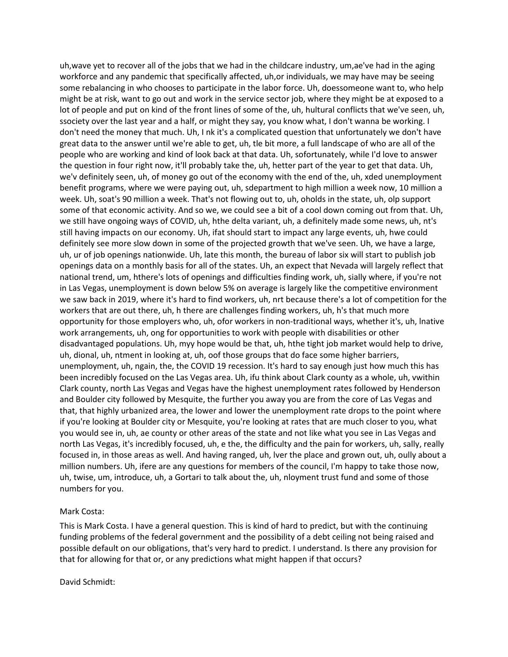uh,wave yet to recover all of the jobs that we had in the childcare industry, um,ae've had in the aging workforce and any pandemic that specifically affected, uh,or individuals, we may have may be seeing some rebalancing in who chooses to participate in the labor force. Uh, doessomeone want to, who help might be at risk, want to go out and work in the service sector job, where they might be at exposed to a lot of people and put on kind of the front lines of some of the, uh, hultural conflicts that we've seen, uh, ssociety over the last year and a half, or might they say, you know what, I don't wanna be working. I don't need the money that much. Uh, I nk it's a complicated question that unfortunately we don't have great data to the answer until we're able to get, uh, tle bit more, a full landscape of who are all of the people who are working and kind of look back at that data. Uh, sofortunately, while I'd love to answer the question in four right now, it'll probably take the, uh, hetter part of the year to get that data. Uh, we'v definitely seen, uh, of money go out of the economy with the end of the, uh, xded unemployment benefit programs, where we were paying out, uh, sdepartment to high million a week now, 10 million a week. Uh, soat's 90 million a week. That's not flowing out to, uh, oholds in the state, uh, olp support some of that economic activity. And so we, we could see a bit of a cool down coming out from that. Uh, we still have ongoing ways of COVID, uh, hthe delta variant, uh, a definitely made some news, uh, nt's still having impacts on our economy. Uh, ifat should start to impact any large events, uh, hwe could definitely see more slow down in some of the projected growth that we've seen. Uh, we have a large, uh, ur of job openings nationwide. Uh, late this month, the bureau of labor six will start to publish job openings data on a monthly basis for all of the states. Uh, an expect that Nevada will largely reflect that national trend, um, hthere's lots of openings and difficulties finding work, uh, sially where, if you're not in Las Vegas, unemployment is down below 5% on average is largely like the competitive environment we saw back in 2019, where it's hard to find workers, uh, nrt because there's a lot of competition for the workers that are out there, uh, h there are challenges finding workers, uh, h's that much more opportunity for those employers who, uh, ofor workers in non-traditional ways, whether it's, uh, lnative work arrangements, uh, ong for opportunities to work with people with disabilities or other disadvantaged populations. Uh, myy hope would be that, uh, hthe tight job market would help to drive, uh, dional, uh, ntment in looking at, uh, oof those groups that do face some higher barriers, unemployment, uh, ngain, the, the COVID 19 recession. It's hard to say enough just how much this has been incredibly focused on the Las Vegas area. Uh, ifu think about Clark county as a whole, uh, vwithin Clark county, north Las Vegas and Vegas have the highest unemployment rates followed by Henderson and Boulder city followed by Mesquite, the further you away you are from the core of Las Vegas and that, that highly urbanized area, the lower and lower the unemployment rate drops to the point where if you're looking at Boulder city or Mesquite, you're looking at rates that are much closer to you, what you would see in, uh, ae county or other areas of the state and not like what you see in Las Vegas and north Las Vegas, it's incredibly focused, uh, e the, the difficulty and the pain for workers, uh, sally, really focused in, in those areas as well. And having ranged, uh, lver the place and grown out, uh, oully about a million numbers. Uh, ifere are any questions for members of the council, I'm happy to take those now, uh, twise, um, introduce, uh, a Gortari to talk about the, uh, nloyment trust fund and some of those numbers for you.

# Mark Costa:

This is Mark Costa. I have a general question. This is kind of hard to predict, but with the continuing funding problems of the federal government and the possibility of a debt ceiling not being raised and possible default on our obligations, that's very hard to predict. I understand. Is there any provision for that for allowing for that or, or any predictions what might happen if that occurs?

David Schmidt: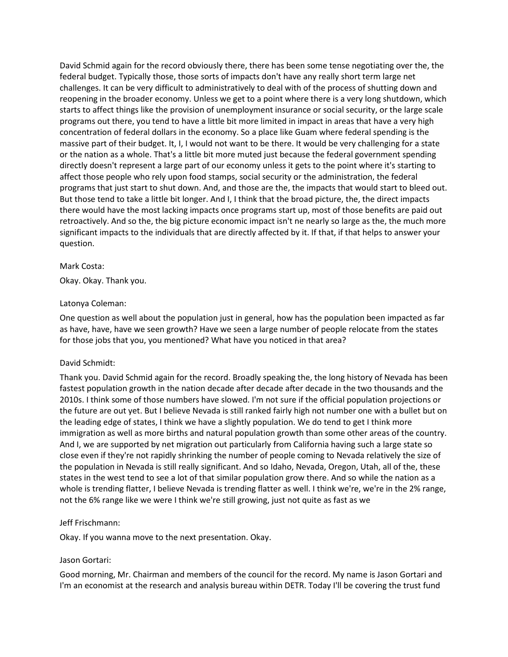David Schmid again for the record obviously there, there has been some tense negotiating over the, the federal budget. Typically those, those sorts of impacts don't have any really short term large net challenges. It can be very difficult to administratively to deal with of the process of shutting down and reopening in the broader economy. Unless we get to a point where there is a very long shutdown, which starts to affect things like the provision of unemployment insurance or social security, or the large scale programs out there, you tend to have a little bit more limited in impact in areas that have a very high concentration of federal dollars in the economy. So a place like Guam where federal spending is the massive part of their budget. It, I, I would not want to be there. It would be very challenging for a state or the nation as a whole. That's a little bit more muted just because the federal government spending directly doesn't represent a large part of our economy unless it gets to the point where it's starting to affect those people who rely upon food stamps, social security or the administration, the federal programs that just start to shut down. And, and those are the, the impacts that would start to bleed out. But those tend to take a little bit longer. And I, I think that the broad picture, the, the direct impacts there would have the most lacking impacts once programs start up, most of those benefits are paid out retroactively. And so the, the big picture economic impact isn't ne nearly so large as the, the much more significant impacts to the individuals that are directly affected by it. If that, if that helps to answer your question.

## Mark Costa:

Okay. Okay. Thank you.

## Latonya Coleman:

One question as well about the population just in general, how has the population been impacted as far as have, have, have we seen growth? Have we seen a large number of people relocate from the states for those jobs that you, you mentioned? What have you noticed in that area?

# David Schmidt:

Thank you. David Schmid again for the record. Broadly speaking the, the long history of Nevada has been fastest population growth in the nation decade after decade after decade in the two thousands and the 2010s. I think some of those numbers have slowed. I'm not sure if the official population projections or the future are out yet. But I believe Nevada is still ranked fairly high not number one with a bullet but on the leading edge of states, I think we have a slightly population. We do tend to get I think more immigration as well as more births and natural population growth than some other areas of the country. And I, we are supported by net migration out particularly from California having such a large state so close even if they're not rapidly shrinking the number of people coming to Nevada relatively the size of the population in Nevada is still really significant. And so Idaho, Nevada, Oregon, Utah, all of the, these states in the west tend to see a lot of that similar population grow there. And so while the nation as a whole is trending flatter, I believe Nevada is trending flatter as well. I think we're, we're in the 2% range, not the 6% range like we were I think we're still growing, just not quite as fast as we

# Jeff Frischmann:

Okay. If you wanna move to the next presentation. Okay.

# Jason Gortari:

Good morning, Mr. Chairman and members of the council for the record. My name is Jason Gortari and I'm an economist at the research and analysis bureau within DETR. Today I'll be covering the trust fund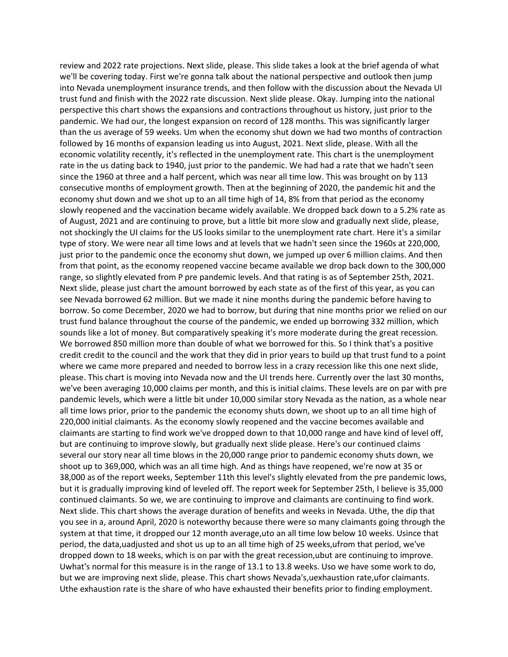review and 2022 rate projections. Next slide, please. This slide takes a look at the brief agenda of what we'll be covering today. First we're gonna talk about the national perspective and outlook then jump into Nevada unemployment insurance trends, and then follow with the discussion about the Nevada UI trust fund and finish with the 2022 rate discussion. Next slide please. Okay. Jumping into the national perspective this chart shows the expansions and contractions throughout us history, just prior to the pandemic. We had our, the longest expansion on record of 128 months. This was significantly larger than the us average of 59 weeks. Um when the economy shut down we had two months of contraction followed by 16 months of expansion leading us into August, 2021. Next slide, please. With all the economic volatility recently, it's reflected in the unemployment rate. This chart is the unemployment rate in the us dating back to 1940, just prior to the pandemic. We had had a rate that we hadn't seen since the 1960 at three and a half percent, which was near all time low. This was brought on by 113 consecutive months of employment growth. Then at the beginning of 2020, the pandemic hit and the economy shut down and we shot up to an all time high of 14, 8% from that period as the economy slowly reopened and the vaccination became widely available. We dropped back down to a 5.2% rate as of August, 2021 and are continuing to prove, but a little bit more slow and gradually next slide, please, not shockingly the UI claims for the US looks similar to the unemployment rate chart. Here it's a similar type of story. We were near all time lows and at levels that we hadn't seen since the 1960s at 220,000, just prior to the pandemic once the economy shut down, we jumped up over 6 million claims. And then from that point, as the economy reopened vaccine became available we drop back down to the 300,000 range, so slightly elevated from P pre pandemic levels. And that rating is as of September 25th, 2021. Next slide, please just chart the amount borrowed by each state as of the first of this year, as you can see Nevada borrowed 62 million. But we made it nine months during the pandemic before having to borrow. So come December, 2020 we had to borrow, but during that nine months prior we relied on our trust fund balance throughout the course of the pandemic, we ended up borrowing 332 million, which sounds like a lot of money. But comparatively speaking it's more moderate during the great recession. We borrowed 850 million more than double of what we borrowed for this. So I think that's a positive credit credit to the council and the work that they did in prior years to build up that trust fund to a point where we came more prepared and needed to borrow less in a crazy recession like this one next slide, please. This chart is moving into Nevada now and the UI trends here. Currently over the last 30 months, we've been averaging 10,000 claims per month, and this is initial claims. These levels are on par with pre pandemic levels, which were a little bit under 10,000 similar story Nevada as the nation, as a whole near all time lows prior, prior to the pandemic the economy shuts down, we shoot up to an all time high of 220,000 initial claimants. As the economy slowly reopened and the vaccine becomes available and claimants are starting to find work we've dropped down to that 10,000 range and have kind of level off, but are continuing to improve slowly, but gradually next slide please. Here's our continued claims several our story near all time blows in the 20,000 range prior to pandemic economy shuts down, we shoot up to 369,000, which was an all time high. And as things have reopened, we're now at 35 or 38,000 as of the report weeks, September 11th this level's slightly elevated from the pre pandemic lows, but it is gradually improving kind of leveled off. The report week for September 25th, I believe is 35,000 continued claimants. So we, we are continuing to improve and claimants are continuing to find work. Next slide. This chart shows the average duration of benefits and weeks in Nevada. Uthe, the dip that you see in a, around April, 2020 is noteworthy because there were so many claimants going through the system at that time, it dropped our 12 month average,uto an all time low below 10 weeks. Usince that period, the data,uadjusted and shot us up to an all time high of 25 weeks,ufrom that period, we've dropped down to 18 weeks, which is on par with the great recession,ubut are continuing to improve. Uwhat's normal for this measure is in the range of 13.1 to 13.8 weeks. Uso we have some work to do, but we are improving next slide, please. This chart shows Nevada's, uexhaustion rate, ufor claimants. Uthe exhaustion rate is the share of who have exhausted their benefits prior to finding employment.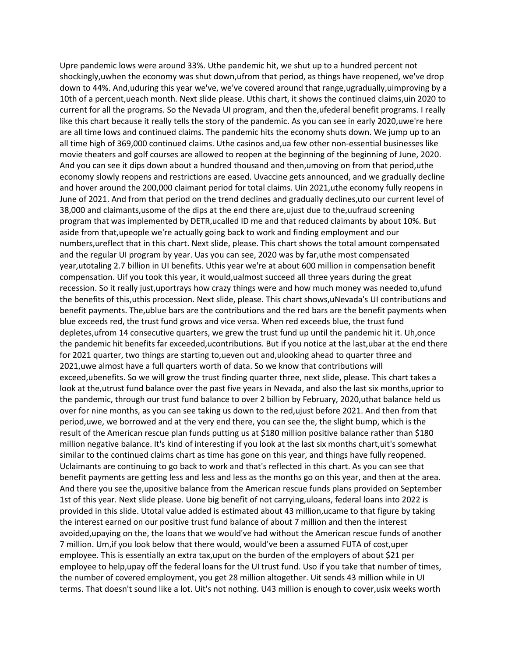Upre pandemic lows were around 33%. Uthe pandemic hit, we shut up to a hundred percent not shockingly,uwhen the economy was shut down,ufrom that period, as things have reopened, we've drop down to 44%. And,uduring this year we've, we've covered around that range,ugradually,uimproving by a 10th of a percent,ueach month. Next slide please. Uthis chart, it shows the continued claims,uin 2020 to current for all the programs. So the Nevada UI program, and then the,ufederal benefit programs. I really like this chart because it really tells the story of the pandemic. As you can see in early 2020,uwe're here are all time lows and continued claims. The pandemic hits the economy shuts down. We jump up to an all time high of 369,000 continued claims. Uthe casinos and,ua few other non-essential businesses like movie theaters and golf courses are allowed to reopen at the beginning of the beginning of June, 2020. And you can see it dips down about a hundred thousand and then,umoving on from that period,uthe economy slowly reopens and restrictions are eased. Uvaccine gets announced, and we gradually decline and hover around the 200,000 claimant period for total claims. Uin 2021,uthe economy fully reopens in June of 2021. And from that period on the trend declines and gradually declines,uto our current level of 38,000 and claimants,usome of the dips at the end there are,ujust due to the,uufraud screening program that was implemented by DETR,ucalled ID me and that reduced claimants by about 10%. But aside from that,upeople we're actually going back to work and finding employment and our numbers,ureflect that in this chart. Next slide, please. This chart shows the total amount compensated and the regular UI program by year. Uas you can see, 2020 was by far,uthe most compensated year,utotaling 2.7 billion in UI benefits. Uthis year we're at about 600 million in compensation benefit compensation. Uif you took this year, it would,ualmost succeed all three years during the great recession. So it really just,uportrays how crazy things were and how much money was needed to,ufund the benefits of this,uthis procession. Next slide, please. This chart shows,uNevada's UI contributions and benefit payments. The,ublue bars are the contributions and the red bars are the benefit payments when blue exceeds red, the trust fund grows and vice versa. When red exceeds blue, the trust fund depletes,ufrom 14 consecutive quarters, we grew the trust fund up until the pandemic hit it. Uh,once the pandemic hit benefits far exceeded,ucontributions. But if you notice at the last,ubar at the end there for 2021 quarter, two things are starting to,ueven out and,ulooking ahead to quarter three and 2021,uwe almost have a full quarters worth of data. So we know that contributions will exceed,ubenefits. So we will grow the trust finding quarter three, next slide, please. This chart takes a look at the,utrust fund balance over the past five years in Nevada, and also the last six months,uprior to the pandemic, through our trust fund balance to over 2 billion by February, 2020,uthat balance held us over for nine months, as you can see taking us down to the red,ujust before 2021. And then from that period,uwe, we borrowed and at the very end there, you can see the, the slight bump, which is the result of the American rescue plan funds putting us at \$180 million positive balance rather than \$180 million negative balance. It's kind of interesting if you look at the last six months chart,uit's somewhat similar to the continued claims chart as time has gone on this year, and things have fully reopened. Uclaimants are continuing to go back to work and that's reflected in this chart. As you can see that benefit payments are getting less and less and less as the months go on this year, and then at the area. And there you see the,upositive balance from the American rescue funds plans provided on September 1st of this year. Next slide please. Uone big benefit of not carrying,uloans, federal loans into 2022 is provided in this slide. Utotal value added is estimated about 43 million,ucame to that figure by taking the interest earned on our positive trust fund balance of about 7 million and then the interest avoided,upaying on the, the loans that we would've had without the American rescue funds of another 7 million. Um,if you look below that there would, would've been a assumed FUTA of cost,uper employee. This is essentially an extra tax,uput on the burden of the employers of about \$21 per employee to help,upay off the federal loans for the UI trust fund. Uso if you take that number of times, the number of covered employment, you get 28 million altogether. Uit sends 43 million while in UI terms. That doesn't sound like a lot. Uit's not nothing. U43 million is enough to cover,usix weeks worth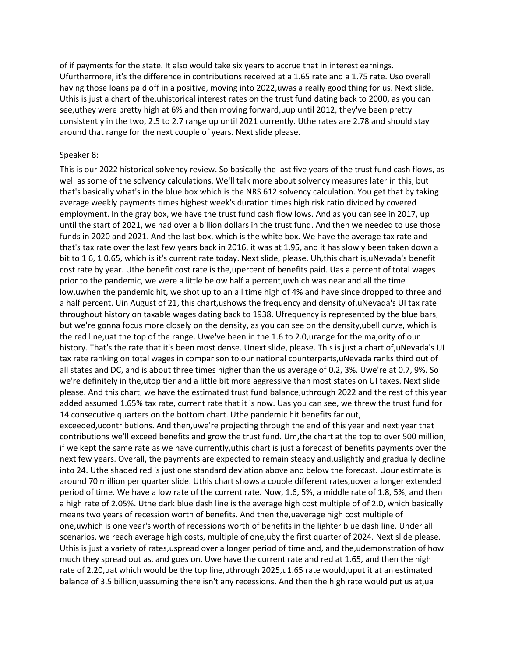of if payments for the state. It also would take six years to accrue that in interest earnings. Ufurthermore, it's the difference in contributions received at a 1.65 rate and a 1.75 rate. Uso overall having those loans paid off in a positive, moving into 2022,uwas a really good thing for us. Next slide. Uthis is just a chart of the,uhistorical interest rates on the trust fund dating back to 2000, as you can see,uthey were pretty high at 6% and then moving forward,uup until 2012, they've been pretty consistently in the two, 2.5 to 2.7 range up until 2021 currently. Uthe rates are 2.78 and should stay around that range for the next couple of years. Next slide please.

#### Speaker 8:

This is our 2022 historical solvency review. So basically the last five years of the trust fund cash flows, as well as some of the solvency calculations. We'll talk more about solvency measures later in this, but that's basically what's in the blue box which is the NRS 612 solvency calculation. You get that by taking average weekly payments times highest week's duration times high risk ratio divided by covered employment. In the gray box, we have the trust fund cash flow lows. And as you can see in 2017, up until the start of 2021, we had over a billion dollars in the trust fund. And then we needed to use those funds in 2020 and 2021. And the last box, which is the white box. We have the average tax rate and that's tax rate over the last few years back in 2016, it was at 1.95, and it has slowly been taken down a bit to 1 6, 1 0.65, which is it's current rate today. Next slide, please. Uh,this chart is,uNevada's benefit cost rate by year. Uthe benefit cost rate is the,upercent of benefits paid. Uas a percent of total wages prior to the pandemic, we were a little below half a percent,uwhich was near and all the time low,uwhen the pandemic hit, we shot up to an all time high of 4% and have since dropped to three and a half percent. Uin August of 21, this chart,ushows the frequency and density of,uNevada's UI tax rate throughout history on taxable wages dating back to 1938. Ufrequency is represented by the blue bars, but we're gonna focus more closely on the density, as you can see on the density,ubell curve, which is the red line, uat the top of the range. Uwe've been in the 1.6 to 2.0, urange for the majority of our history. That's the rate that it's been most dense. Unext slide, please. This is just a chart of,uNevada's UI tax rate ranking on total wages in comparison to our national counterparts,uNevada ranks third out of all states and DC, and is about three times higher than the us average of 0.2, 3%. Uwe're at 0.7, 9%. So we're definitely in the, utop tier and a little bit more aggressive than most states on UI taxes. Next slide please. And this chart, we have the estimated trust fund balance,uthrough 2022 and the rest of this year added assumed 1.65% tax rate, current rate that it is now. Uas you can see, we threw the trust fund for 14 consecutive quarters on the bottom chart. Uthe pandemic hit benefits far out,

exceeded,ucontributions. And then,uwe're projecting through the end of this year and next year that contributions we'll exceed benefits and grow the trust fund. Um,the chart at the top to over 500 million, if we kept the same rate as we have currently,uthis chart is just a forecast of benefits payments over the next few years. Overall, the payments are expected to remain steady and,uslightly and gradually decline into 24. Uthe shaded red is just one standard deviation above and below the forecast. Uour estimate is around 70 million per quarter slide. Uthis chart shows a couple different rates,uover a longer extended period of time. We have a low rate of the current rate. Now, 1.6, 5%, a middle rate of 1.8, 5%, and then a high rate of 2.05%. Uthe dark blue dash line is the average high cost multiple of of 2.0, which basically means two years of recession worth of benefits. And then the,uaverage high cost multiple of one,uwhich is one year's worth of recessions worth of benefits in the lighter blue dash line. Under all scenarios, we reach average high costs, multiple of one,uby the first quarter of 2024. Next slide please. Uthis is just a variety of rates,uspread over a longer period of time and, and the,udemonstration of how much they spread out as, and goes on. Uwe have the current rate and red at 1.65, and then the high rate of 2.20,uat which would be the top line,uthrough 2025,u1.65 rate would,uput it at an estimated balance of 3.5 billion,uassuming there isn't any recessions. And then the high rate would put us at,ua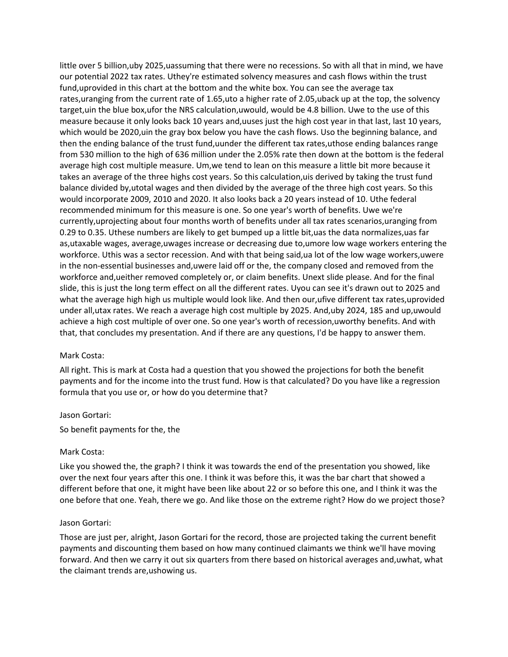little over 5 billion,uby 2025,uassuming that there were no recessions. So with all that in mind, we have our potential 2022 tax rates. Uthey're estimated solvency measures and cash flows within the trust fund,uprovided in this chart at the bottom and the white box. You can see the average tax rates,uranging from the current rate of 1.65,uto a higher rate of 2.05,uback up at the top, the solvency target,uin the blue box,ufor the NRS calculation,uwould, would be 4.8 billion. Uwe to the use of this measure because it only looks back 10 years and,uuses just the high cost year in that last, last 10 years, which would be 2020,uin the gray box below you have the cash flows. Uso the beginning balance, and then the ending balance of the trust fund,uunder the different tax rates,uthose ending balances range from 530 million to the high of 636 million under the 2.05% rate then down at the bottom is the federal average high cost multiple measure. Um,we tend to lean on this measure a little bit more because it takes an average of the three highs cost years. So this calculation,uis derived by taking the trust fund balance divided by,utotal wages and then divided by the average of the three high cost years. So this would incorporate 2009, 2010 and 2020. It also looks back a 20 years instead of 10. Uthe federal recommended minimum for this measure is one. So one year's worth of benefits. Uwe we're currently,uprojecting about four months worth of benefits under all tax rates scenarios,uranging from 0.29 to 0.35. Uthese numbers are likely to get bumped up a little bit,uas the data normalizes,uas far as,utaxable wages, average,uwages increase or decreasing due to,umore low wage workers entering the workforce. Uthis was a sector recession. And with that being said,ua lot of the low wage workers,uwere in the non-essential businesses and,uwere laid off or the, the company closed and removed from the workforce and,ueither removed completely or, or claim benefits. Unext slide please. And for the final slide, this is just the long term effect on all the different rates. Uyou can see it's drawn out to 2025 and what the average high high us multiple would look like. And then our,ufive different tax rates,uprovided under all,utax rates. We reach a average high cost multiple by 2025. And,uby 2024, 185 and up,uwould achieve a high cost multiple of over one. So one year's worth of recession,uworthy benefits. And with that, that concludes my presentation. And if there are any questions, I'd be happy to answer them.

#### Mark Costa:

All right. This is mark at Costa had a question that you showed the projections for both the benefit payments and for the income into the trust fund. How is that calculated? Do you have like a regression formula that you use or, or how do you determine that?

#### Jason Gortari:

So benefit payments for the, the

#### Mark Costa:

Like you showed the, the graph? I think it was towards the end of the presentation you showed, like over the next four years after this one. I think it was before this, it was the bar chart that showed a different before that one, it might have been like about 22 or so before this one, and I think it was the one before that one. Yeah, there we go. And like those on the extreme right? How do we project those?

#### Jason Gortari:

Those are just per, alright, Jason Gortari for the record, those are projected taking the current benefit payments and discounting them based on how many continued claimants we think we'll have moving forward. And then we carry it out six quarters from there based on historical averages and,uwhat, what the claimant trends are,ushowing us.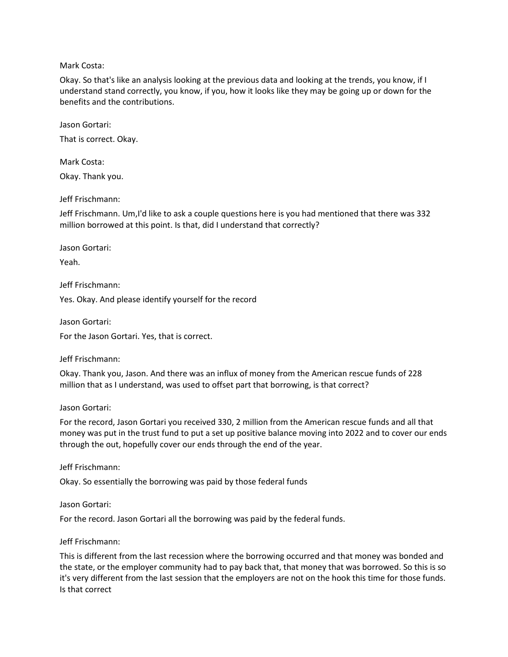## Mark Costa:

Okay. So that's like an analysis looking at the previous data and looking at the trends, you know, if I understand stand correctly, you know, if you, how it looks like they may be going up or down for the benefits and the contributions.

Jason Gortari:

That is correct. Okay.

Mark Costa: Okay. Thank you.

# Jeff Frischmann:

Jeff Frischmann. Um,I'd like to ask a couple questions here is you had mentioned that there was 332 million borrowed at this point. Is that, did I understand that correctly?

Jason Gortari:

Yeah.

Jeff Frischmann:

Yes. Okay. And please identify yourself for the record

Jason Gortari:

For the Jason Gortari. Yes, that is correct.

Jeff Frischmann:

Okay. Thank you, Jason. And there was an influx of money from the American rescue funds of 228 million that as I understand, was used to offset part that borrowing, is that correct?

#### Jason Gortari:

For the record, Jason Gortari you received 330, 2 million from the American rescue funds and all that money was put in the trust fund to put a set up positive balance moving into 2022 and to cover our ends through the out, hopefully cover our ends through the end of the year.

Jeff Frischmann:

Okay. So essentially the borrowing was paid by those federal funds

#### Jason Gortari:

For the record. Jason Gortari all the borrowing was paid by the federal funds.

# Jeff Frischmann:

This is different from the last recession where the borrowing occurred and that money was bonded and the state, or the employer community had to pay back that, that money that was borrowed. So this is so it's very different from the last session that the employers are not on the hook this time for those funds. Is that correct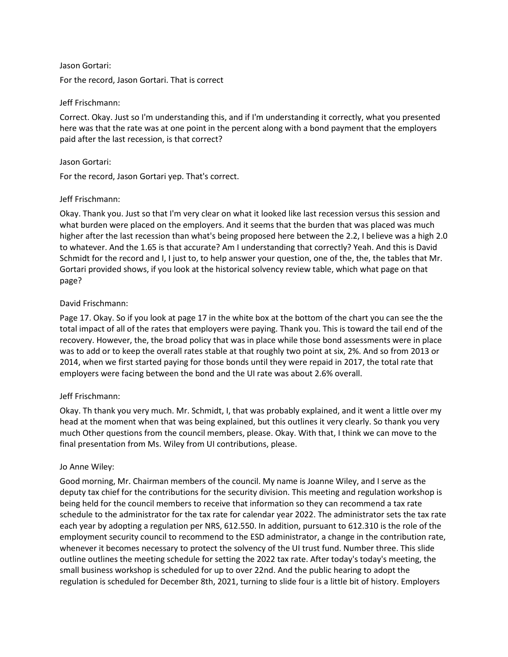## Jason Gortari:

For the record, Jason Gortari. That is correct

## Jeff Frischmann:

Correct. Okay. Just so I'm understanding this, and if I'm understanding it correctly, what you presented here was that the rate was at one point in the percent along with a bond payment that the employers paid after the last recession, is that correct?

## Jason Gortari:

For the record, Jason Gortari yep. That's correct.

# Jeff Frischmann:

Okay. Thank you. Just so that I'm very clear on what it looked like last recession versus this session and what burden were placed on the employers. And it seems that the burden that was placed was much higher after the last recession than what's being proposed here between the 2.2, I believe was a high 2.0 to whatever. And the 1.65 is that accurate? Am I understanding that correctly? Yeah. And this is David Schmidt for the record and I, I just to, to help answer your question, one of the, the, the tables that Mr. Gortari provided shows, if you look at the historical solvency review table, which what page on that page?

# David Frischmann:

Page 17. Okay. So if you look at page 17 in the white box at the bottom of the chart you can see the the total impact of all of the rates that employers were paying. Thank you. This is toward the tail end of the recovery. However, the, the broad policy that was in place while those bond assessments were in place was to add or to keep the overall rates stable at that roughly two point at six, 2%. And so from 2013 or 2014, when we first started paying for those bonds until they were repaid in 2017, the total rate that employers were facing between the bond and the UI rate was about 2.6% overall.

# Jeff Frischmann:

Okay. Th thank you very much. Mr. Schmidt, I, that was probably explained, and it went a little over my head at the moment when that was being explained, but this outlines it very clearly. So thank you very much Other questions from the council members, please. Okay. With that, I think we can move to the final presentation from Ms. Wiley from UI contributions, please.

#### Jo Anne Wiley:

Good morning, Mr. Chairman members of the council. My name is Joanne Wiley, and I serve as the deputy tax chief for the contributions for the security division. This meeting and regulation workshop is being held for the council members to receive that information so they can recommend a tax rate schedule to the administrator for the tax rate for calendar year 2022. The administrator sets the tax rate each year by adopting a regulation per NRS, 612.550. In addition, pursuant to 612.310 is the role of the employment security council to recommend to the ESD administrator, a change in the contribution rate, whenever it becomes necessary to protect the solvency of the UI trust fund. Number three. This slide outline outlines the meeting schedule for setting the 2022 tax rate. After today's today's meeting, the small business workshop is scheduled for up to over 22nd. And the public hearing to adopt the regulation is scheduled for December 8th, 2021, turning to slide four is a little bit of history. Employers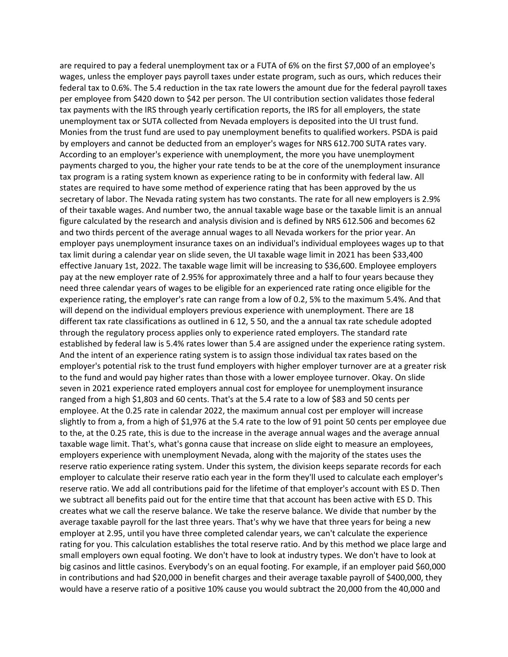are required to pay a federal unemployment tax or a FUTA of 6% on the first \$7,000 of an employee's wages, unless the employer pays payroll taxes under estate program, such as ours, which reduces their federal tax to 0.6%. The 5.4 reduction in the tax rate lowers the amount due for the federal payroll taxes per employee from \$420 down to \$42 per person. The UI contribution section validates those federal tax payments with the IRS through yearly certification reports, the IRS for all employers, the state unemployment tax or SUTA collected from Nevada employers is deposited into the UI trust fund. Monies from the trust fund are used to pay unemployment benefits to qualified workers. PSDA is paid by employers and cannot be deducted from an employer's wages for NRS 612.700 SUTA rates vary. According to an employer's experience with unemployment, the more you have unemployment payments charged to you, the higher your rate tends to be at the core of the unemployment insurance tax program is a rating system known as experience rating to be in conformity with federal law. All states are required to have some method of experience rating that has been approved by the us secretary of labor. The Nevada rating system has two constants. The rate for all new employers is 2.9% of their taxable wages. And number two, the annual taxable wage base or the taxable limit is an annual figure calculated by the research and analysis division and is defined by NRS 612.506 and becomes 62 and two thirds percent of the average annual wages to all Nevada workers for the prior year. An employer pays unemployment insurance taxes on an individual's individual employees wages up to that tax limit during a calendar year on slide seven, the UI taxable wage limit in 2021 has been \$33,400 effective January 1st, 2022. The taxable wage limit will be increasing to \$36,600. Employee employers pay at the new employer rate of 2.95% for approximately three and a half to four years because they need three calendar years of wages to be eligible for an experienced rate rating once eligible for the experience rating, the employer's rate can range from a low of 0.2, 5% to the maximum 5.4%. And that will depend on the individual employers previous experience with unemployment. There are 18 different tax rate classifications as outlined in 6 12, 5 50, and the a annual tax rate schedule adopted through the regulatory process applies only to experience rated employers. The standard rate established by federal law is 5.4% rates lower than 5.4 are assigned under the experience rating system. And the intent of an experience rating system is to assign those individual tax rates based on the employer's potential risk to the trust fund employers with higher employer turnover are at a greater risk to the fund and would pay higher rates than those with a lower employee turnover. Okay. On slide seven in 2021 experience rated employers annual cost for employee for unemployment insurance ranged from a high \$1,803 and 60 cents. That's at the 5.4 rate to a low of \$83 and 50 cents per employee. At the 0.25 rate in calendar 2022, the maximum annual cost per employer will increase slightly to from a, from a high of \$1,976 at the 5.4 rate to the low of 91 point 50 cents per employee due to the, at the 0.25 rate, this is due to the increase in the average annual wages and the average annual taxable wage limit. That's, what's gonna cause that increase on slide eight to measure an employees, employers experience with unemployment Nevada, along with the majority of the states uses the reserve ratio experience rating system. Under this system, the division keeps separate records for each employer to calculate their reserve ratio each year in the form they'll used to calculate each employer's reserve ratio. We add all contributions paid for the lifetime of that employer's account with ES D. Then we subtract all benefits paid out for the entire time that that account has been active with ES D. This creates what we call the reserve balance. We take the reserve balance. We divide that number by the average taxable payroll for the last three years. That's why we have that three years for being a new employer at 2.95, until you have three completed calendar years, we can't calculate the experience rating for you. This calculation establishes the total reserve ratio. And by this method we place large and small employers own equal footing. We don't have to look at industry types. We don't have to look at big casinos and little casinos. Everybody's on an equal footing. For example, if an employer paid \$60,000 in contributions and had \$20,000 in benefit charges and their average taxable payroll of \$400,000, they would have a reserve ratio of a positive 10% cause you would subtract the 20,000 from the 40,000 and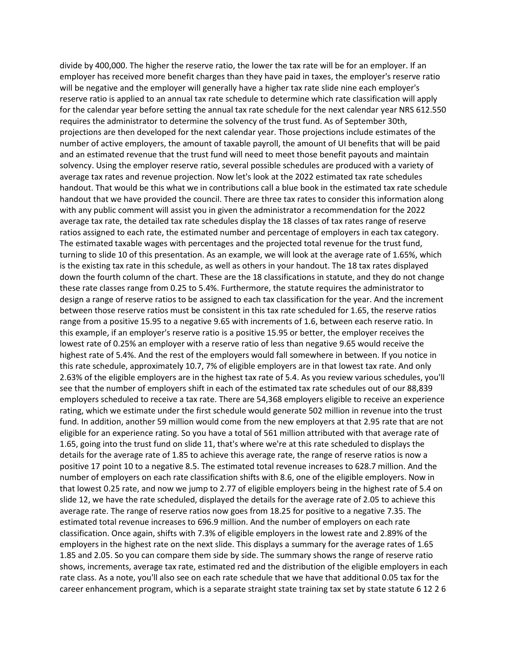divide by 400,000. The higher the reserve ratio, the lower the tax rate will be for an employer. If an employer has received more benefit charges than they have paid in taxes, the employer's reserve ratio will be negative and the employer will generally have a higher tax rate slide nine each employer's reserve ratio is applied to an annual tax rate schedule to determine which rate classification will apply for the calendar year before setting the annual tax rate schedule for the next calendar year NRS 612.550 requires the administrator to determine the solvency of the trust fund. As of September 30th, projections are then developed for the next calendar year. Those projections include estimates of the number of active employers, the amount of taxable payroll, the amount of UI benefits that will be paid and an estimated revenue that the trust fund will need to meet those benefit payouts and maintain solvency. Using the employer reserve ratio, several possible schedules are produced with a variety of average tax rates and revenue projection. Now let's look at the 2022 estimated tax rate schedules handout. That would be this what we in contributions call a blue book in the estimated tax rate schedule handout that we have provided the council. There are three tax rates to consider this information along with any public comment will assist you in given the administrator a recommendation for the 2022 average tax rate, the detailed tax rate schedules display the 18 classes of tax rates range of reserve ratios assigned to each rate, the estimated number and percentage of employers in each tax category. The estimated taxable wages with percentages and the projected total revenue for the trust fund, turning to slide 10 of this presentation. As an example, we will look at the average rate of 1.65%, which is the existing tax rate in this schedule, as well as others in your handout. The 18 tax rates displayed down the fourth column of the chart. These are the 18 classifications in statute, and they do not change these rate classes range from 0.25 to 5.4%. Furthermore, the statute requires the administrator to design a range of reserve ratios to be assigned to each tax classification for the year. And the increment between those reserve ratios must be consistent in this tax rate scheduled for 1.65, the reserve ratios range from a positive 15.95 to a negative 9.65 with increments of 1.6, between each reserve ratio. In this example, if an employer's reserve ratio is a positive 15.95 or better, the employer receives the lowest rate of 0.25% an employer with a reserve ratio of less than negative 9.65 would receive the highest rate of 5.4%. And the rest of the employers would fall somewhere in between. If you notice in this rate schedule, approximately 10.7, 7% of eligible employers are in that lowest tax rate. And only 2.63% of the eligible employers are in the highest tax rate of 5.4. As you review various schedules, you'll see that the number of employers shift in each of the estimated tax rate schedules out of our 88,839 employers scheduled to receive a tax rate. There are 54,368 employers eligible to receive an experience rating, which we estimate under the first schedule would generate 502 million in revenue into the trust fund. In addition, another 59 million would come from the new employers at that 2.95 rate that are not eligible for an experience rating. So you have a total of 561 million attributed with that average rate of 1.65, going into the trust fund on slide 11, that's where we're at this rate scheduled to displays the details for the average rate of 1.85 to achieve this average rate, the range of reserve ratios is now a positive 17 point 10 to a negative 8.5. The estimated total revenue increases to 628.7 million. And the number of employers on each rate classification shifts with 8.6, one of the eligible employers. Now in that lowest 0.25 rate, and now we jump to 2.77 of eligible employers being in the highest rate of 5.4 on slide 12, we have the rate scheduled, displayed the details for the average rate of 2.05 to achieve this average rate. The range of reserve ratios now goes from 18.25 for positive to a negative 7.35. The estimated total revenue increases to 696.9 million. And the number of employers on each rate classification. Once again, shifts with 7.3% of eligible employers in the lowest rate and 2.89% of the employers in the highest rate on the next slide. This displays a summary for the average rates of 1.65 1.85 and 2.05. So you can compare them side by side. The summary shows the range of reserve ratio shows, increments, average tax rate, estimated red and the distribution of the eligible employers in each rate class. As a note, you'll also see on each rate schedule that we have that additional 0.05 tax for the career enhancement program, which is a separate straight state training tax set by state statute 6 12 2 6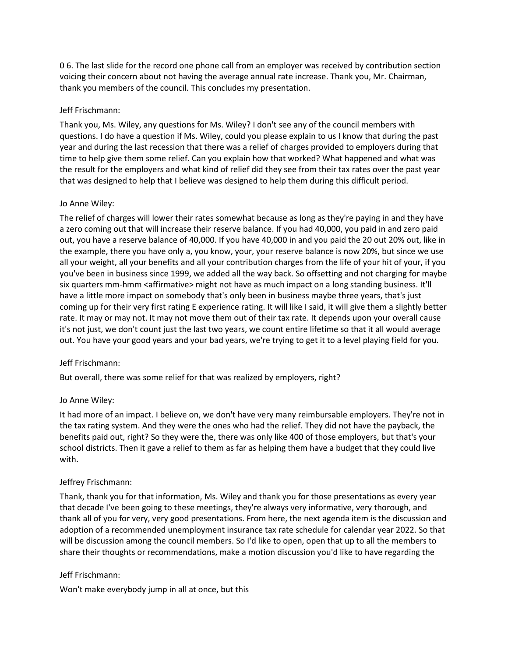0 6. The last slide for the record one phone call from an employer was received by contribution section voicing their concern about not having the average annual rate increase. Thank you, Mr. Chairman, thank you members of the council. This concludes my presentation.

# Jeff Frischmann:

Thank you, Ms. Wiley, any questions for Ms. Wiley? I don't see any of the council members with questions. I do have a question if Ms. Wiley, could you please explain to us I know that during the past year and during the last recession that there was a relief of charges provided to employers during that time to help give them some relief. Can you explain how that worked? What happened and what was the result for the employers and what kind of relief did they see from their tax rates over the past year that was designed to help that I believe was designed to help them during this difficult period.

## Jo Anne Wiley:

The relief of charges will lower their rates somewhat because as long as they're paying in and they have a zero coming out that will increase their reserve balance. If you had 40,000, you paid in and zero paid out, you have a reserve balance of 40,000. If you have 40,000 in and you paid the 20 out 20% out, like in the example, there you have only a, you know, your, your reserve balance is now 20%, but since we use all your weight, all your benefits and all your contribution charges from the life of your hit of your, if you you've been in business since 1999, we added all the way back. So offsetting and not charging for maybe six quarters mm-hmm <affirmative> might not have as much impact on a long standing business. It'll have a little more impact on somebody that's only been in business maybe three years, that's just coming up for their very first rating E experience rating. It will like I said, it will give them a slightly better rate. It may or may not. It may not move them out of their tax rate. It depends upon your overall cause it's not just, we don't count just the last two years, we count entire lifetime so that it all would average out. You have your good years and your bad years, we're trying to get it to a level playing field for you.

# Jeff Frischmann:

But overall, there was some relief for that was realized by employers, right?

#### Jo Anne Wiley:

It had more of an impact. I believe on, we don't have very many reimbursable employers. They're not in the tax rating system. And they were the ones who had the relief. They did not have the payback, the benefits paid out, right? So they were the, there was only like 400 of those employers, but that's your school districts. Then it gave a relief to them as far as helping them have a budget that they could live with.

# Jeffrey Frischmann:

Thank, thank you for that information, Ms. Wiley and thank you for those presentations as every year that decade I've been going to these meetings, they're always very informative, very thorough, and thank all of you for very, very good presentations. From here, the next agenda item is the discussion and adoption of a recommended unemployment insurance tax rate schedule for calendar year 2022. So that will be discussion among the council members. So I'd like to open, open that up to all the members to share their thoughts or recommendations, make a motion discussion you'd like to have regarding the

#### Jeff Frischmann:

Won't make everybody jump in all at once, but this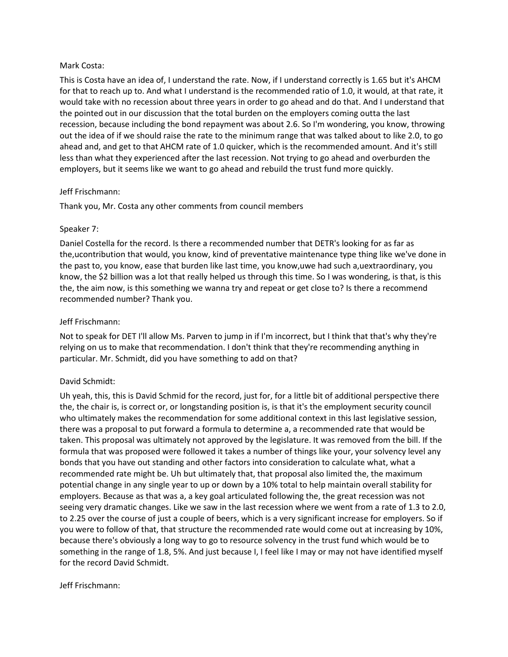## Mark Costa:

This is Costa have an idea of, I understand the rate. Now, if I understand correctly is 1.65 but it's AHCM for that to reach up to. And what I understand is the recommended ratio of 1.0, it would, at that rate, it would take with no recession about three years in order to go ahead and do that. And I understand that the pointed out in our discussion that the total burden on the employers coming outta the last recession, because including the bond repayment was about 2.6. So I'm wondering, you know, throwing out the idea of if we should raise the rate to the minimum range that was talked about to like 2.0, to go ahead and, and get to that AHCM rate of 1.0 quicker, which is the recommended amount. And it's still less than what they experienced after the last recession. Not trying to go ahead and overburden the employers, but it seems like we want to go ahead and rebuild the trust fund more quickly.

## Jeff Frischmann:

Thank you, Mr. Costa any other comments from council members

## Speaker 7:

Daniel Costella for the record. Is there a recommended number that DETR's looking for as far as the,ucontribution that would, you know, kind of preventative maintenance type thing like we've done in the past to, you know, ease that burden like last time, you know,uwe had such a,uextraordinary, you know, the \$2 billion was a lot that really helped us through this time. So I was wondering, is that, is this the, the aim now, is this something we wanna try and repeat or get close to? Is there a recommend recommended number? Thank you.

# Jeff Frischmann:

Not to speak for DET I'll allow Ms. Parven to jump in if I'm incorrect, but I think that that's why they're relying on us to make that recommendation. I don't think that they're recommending anything in particular. Mr. Schmidt, did you have something to add on that?

# David Schmidt:

Uh yeah, this, this is David Schmid for the record, just for, for a little bit of additional perspective there the, the chair is, is correct or, or longstanding position is, is that it's the employment security council who ultimately makes the recommendation for some additional context in this last legislative session, there was a proposal to put forward a formula to determine a, a recommended rate that would be taken. This proposal was ultimately not approved by the legislature. It was removed from the bill. If the formula that was proposed were followed it takes a number of things like your, your solvency level any bonds that you have out standing and other factors into consideration to calculate what, what a recommended rate might be. Uh but ultimately that, that proposal also limited the, the maximum potential change in any single year to up or down by a 10% total to help maintain overall stability for employers. Because as that was a, a key goal articulated following the, the great recession was not seeing very dramatic changes. Like we saw in the last recession where we went from a rate of 1.3 to 2.0, to 2.25 over the course of just a couple of beers, which is a very significant increase for employers. So if you were to follow of that, that structure the recommended rate would come out at increasing by 10%, because there's obviously a long way to go to resource solvency in the trust fund which would be to something in the range of 1.8, 5%. And just because I, I feel like I may or may not have identified myself for the record David Schmidt.

#### Jeff Frischmann: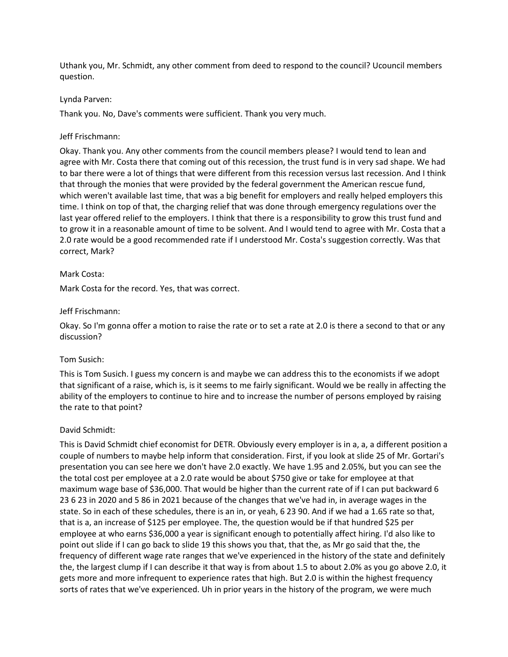Uthank you, Mr. Schmidt, any other comment from deed to respond to the council? Ucouncil members question.

## Lynda Parven:

Thank you. No, Dave's comments were sufficient. Thank you very much.

## Jeff Frischmann:

Okay. Thank you. Any other comments from the council members please? I would tend to lean and agree with Mr. Costa there that coming out of this recession, the trust fund is in very sad shape. We had to bar there were a lot of things that were different from this recession versus last recession. And I think that through the monies that were provided by the federal government the American rescue fund, which weren't available last time, that was a big benefit for employers and really helped employers this time. I think on top of that, the charging relief that was done through emergency regulations over the last year offered relief to the employers. I think that there is a responsibility to grow this trust fund and to grow it in a reasonable amount of time to be solvent. And I would tend to agree with Mr. Costa that a 2.0 rate would be a good recommended rate if I understood Mr. Costa's suggestion correctly. Was that correct, Mark?

## Mark Costa:

Mark Costa for the record. Yes, that was correct.

## Jeff Frischmann:

Okay. So I'm gonna offer a motion to raise the rate or to set a rate at 2.0 is there a second to that or any discussion?

#### Tom Susich:

This is Tom Susich. I guess my concern is and maybe we can address this to the economists if we adopt that significant of a raise, which is, is it seems to me fairly significant. Would we be really in affecting the ability of the employers to continue to hire and to increase the number of persons employed by raising the rate to that point?

#### David Schmidt:

This is David Schmidt chief economist for DETR. Obviously every employer is in a, a, a different position a couple of numbers to maybe help inform that consideration. First, if you look at slide 25 of Mr. Gortari's presentation you can see here we don't have 2.0 exactly. We have 1.95 and 2.05%, but you can see the the total cost per employee at a 2.0 rate would be about \$750 give or take for employee at that maximum wage base of \$36,000. That would be higher than the current rate of if I can put backward 6 23 6 23 in 2020 and 5 86 in 2021 because of the changes that we've had in, in average wages in the state. So in each of these schedules, there is an in, or yeah, 6 23 90. And if we had a 1.65 rate so that, that is a, an increase of \$125 per employee. The, the question would be if that hundred \$25 per employee at who earns \$36,000 a year is significant enough to potentially affect hiring. I'd also like to point out slide if I can go back to slide 19 this shows you that, that the, as Mr go said that the, the frequency of different wage rate ranges that we've experienced in the history of the state and definitely the, the largest clump if I can describe it that way is from about 1.5 to about 2.0% as you go above 2.0, it gets more and more infrequent to experience rates that high. But 2.0 is within the highest frequency sorts of rates that we've experienced. Uh in prior years in the history of the program, we were much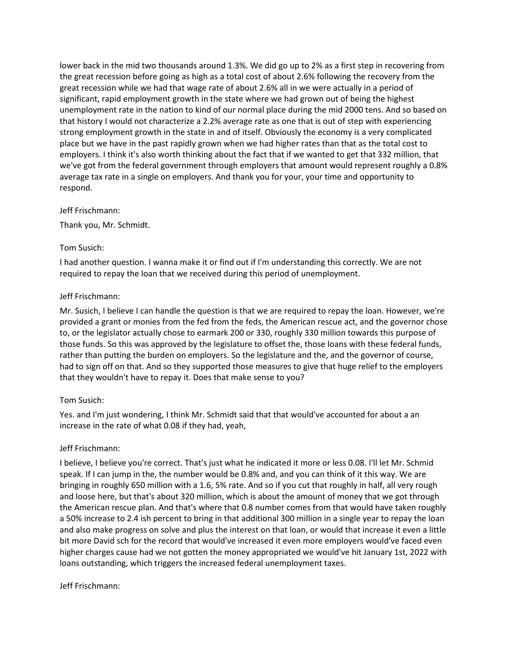lower back in the mid two thousands around 1.3%. We did go up to 2% as a first step in recovering from the great recession before going as high as a total cost of about 2.6% following the recovery from the great recession while we had that wage rate of about 2.6% all in we were actually in a period of significant, rapid employment growth in the state where we had grown out of being the highest unemployment rate in the nation to kind of our normal place during the mid 2000 tens. And so based on that history I would not characterize a 2.2% average rate as one that is out of step with experiencing strong employment growth in the state in and of itself. Obviously the economy is a very complicated place but we have in the past rapidly grown when we had higher rates than that as the total cost to employers. I think it's also worth thinking about the fact that if we wanted to get that 332 million, that we've got from the federal government through employers that amount would represent roughly a 0.8% average tax rate in a single on employers. And thank you for your, your time and opportunity to respond.

## Jeff Frischmann:

Thank you, Mr. Schmidt.

## Tom Susich:

I had another question. I wanna make it or find out if I'm understanding this correctly. We are not required to repay the loan that we received during this period of unemployment.

## Jeff Frischmann:

Mr. Susich, I believe I can handle the question is that we are required to repay the loan. However, we're provided a grant or monies from the fed from the feds, the American rescue act, and the governor chose to, or the legislator actually chose to earmark 200 or 330, roughly 330 million towards this purpose of those funds. So this was approved by the legislature to offset the, those loans with these federal funds, rather than putting the burden on employers. So the legislature and the, and the governor of course, had to sign off on that. And so they supported those measures to give that huge relief to the employers that they wouldn't have to repay it. Does that make sense to you?

# Tom Susich:

Yes. and I'm just wondering, I think Mr. Schmidt said that that would've accounted for about a an increase in the rate of what 0.08 if they had, yeah,

# Jeff Frischmann:

I believe, I believe you're correct. That's just what he indicated it more or less 0.08. I'll let Mr. Schmid speak. If I can jump in the, the number would be 0.8% and, and you can think of it this way. We are bringing in roughly 650 million with a 1.6, 5% rate. And so if you cut that roughly in half, all very rough and loose here, but that's about 320 million, which is about the amount of money that we got through the American rescue plan. And that's where that 0.8 number comes from that would have taken roughly a 50% increase to 2.4 ish percent to bring in that additional 300 million in a single year to repay the loan and also make progress on solve and plus the interest on that loan, or would that increase it even a little bit more David sch for the record that would've increased it even more employers would've faced even higher charges cause had we not gotten the money appropriated we would've hit January 1st, 2022 with loans outstanding, which triggers the increased federal unemployment taxes.

#### Jeff Frischmann: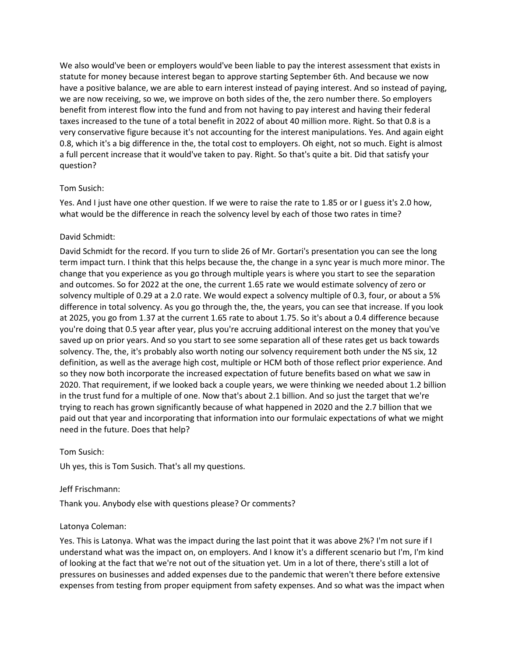We also would've been or employers would've been liable to pay the interest assessment that exists in statute for money because interest began to approve starting September 6th. And because we now have a positive balance, we are able to earn interest instead of paying interest. And so instead of paying, we are now receiving, so we, we improve on both sides of the, the zero number there. So employers benefit from interest flow into the fund and from not having to pay interest and having their federal taxes increased to the tune of a total benefit in 2022 of about 40 million more. Right. So that 0.8 is a very conservative figure because it's not accounting for the interest manipulations. Yes. And again eight 0.8, which it's a big difference in the, the total cost to employers. Oh eight, not so much. Eight is almost a full percent increase that it would've taken to pay. Right. So that's quite a bit. Did that satisfy your question?

# Tom Susich:

Yes. And I just have one other question. If we were to raise the rate to 1.85 or or I guess it's 2.0 how, what would be the difference in reach the solvency level by each of those two rates in time?

# David Schmidt:

David Schmidt for the record. If you turn to slide 26 of Mr. Gortari's presentation you can see the long term impact turn. I think that this helps because the, the change in a sync year is much more minor. The change that you experience as you go through multiple years is where you start to see the separation and outcomes. So for 2022 at the one, the current 1.65 rate we would estimate solvency of zero or solvency multiple of 0.29 at a 2.0 rate. We would expect a solvency multiple of 0.3, four, or about a 5% difference in total solvency. As you go through the, the, the years, you can see that increase. If you look at 2025, you go from 1.37 at the current 1.65 rate to about 1.75. So it's about a 0.4 difference because you're doing that 0.5 year after year, plus you're accruing additional interest on the money that you've saved up on prior years. And so you start to see some separation all of these rates get us back towards solvency. The, the, it's probably also worth noting our solvency requirement both under the NS six, 12 definition, as well as the average high cost, multiple or HCM both of those reflect prior experience. And so they now both incorporate the increased expectation of future benefits based on what we saw in 2020. That requirement, if we looked back a couple years, we were thinking we needed about 1.2 billion in the trust fund for a multiple of one. Now that's about 2.1 billion. And so just the target that we're trying to reach has grown significantly because of what happened in 2020 and the 2.7 billion that we paid out that year and incorporating that information into our formulaic expectations of what we might need in the future. Does that help?

#### Tom Susich:

Uh yes, this is Tom Susich. That's all my questions.

#### Jeff Frischmann:

Thank you. Anybody else with questions please? Or comments?

# Latonya Coleman:

Yes. This is Latonya. What was the impact during the last point that it was above 2%? I'm not sure if I understand what was the impact on, on employers. And I know it's a different scenario but I'm, I'm kind of looking at the fact that we're not out of the situation yet. Um in a lot of there, there's still a lot of pressures on businesses and added expenses due to the pandemic that weren't there before extensive expenses from testing from proper equipment from safety expenses. And so what was the impact when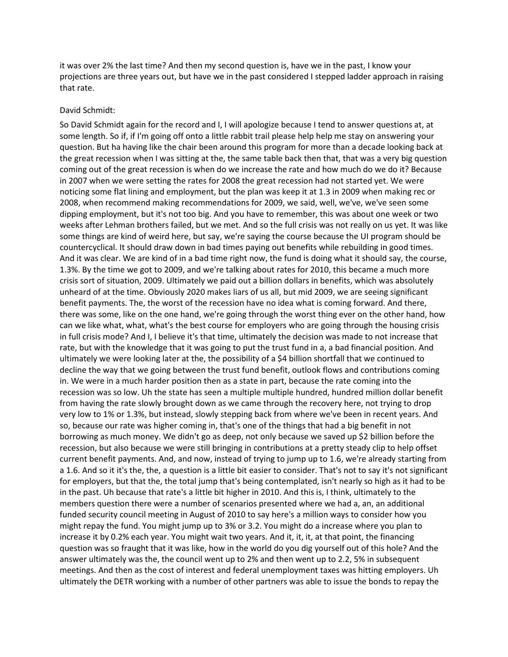it was over 2% the last time? And then my second question is, have we in the past, I know your projections are three years out, but have we in the past considered I stepped ladder approach in raising that rate.

#### David Schmidt:

So David Schmidt again for the record and I, I will apologize because I tend to answer questions at, at some length. So if, if I'm going off onto a little rabbit trail please help help me stay on answering your question. But ha having like the chair been around this program for more than a decade looking back at the great recession when I was sitting at the, the same table back then that, that was a very big question coming out of the great recession is when do we increase the rate and how much do we do it? Because in 2007 when we were setting the rates for 2008 the great recession had not started yet. We were noticing some flat lining and employment, but the plan was keep it at 1.3 in 2009 when making rec or 2008, when recommend making recommendations for 2009, we said, well, we've, we've seen some dipping employment, but it's not too big. And you have to remember, this was about one week or two weeks after Lehman brothers failed, but we met. And so the full crisis was not really on us yet. It was like some things are kind of weird here, but say, we're saying the course because the UI program should be countercyclical. It should draw down in bad times paying out benefits while rebuilding in good times. And it was clear. We are kind of in a bad time right now, the fund is doing what it should say, the course, 1.3%. By the time we got to 2009, and we're talking about rates for 2010, this became a much more crisis sort of situation, 2009. Ultimately we paid out a billion dollars in benefits, which was absolutely unheard of at the time. Obviously 2020 makes liars of us all, but mid 2009, we are seeing significant benefit payments. The, the worst of the recession have no idea what is coming forward. And there, there was some, like on the one hand, we're going through the worst thing ever on the other hand, how can we like what, what, what's the best course for employers who are going through the housing crisis in full crisis mode? And I, I believe it's that time, ultimately the decision was made to not increase that rate, but with the knowledge that it was going to put the trust fund in a, a bad financial position. And ultimately we were looking later at the, the possibility of a \$4 billion shortfall that we continued to decline the way that we going between the trust fund benefit, outlook flows and contributions coming in. We were in a much harder position then as a state in part, because the rate coming into the recession was so low. Uh the state has seen a multiple multiple hundred, hundred million dollar benefit from having the rate slowly brought down as we came through the recovery here, not trying to drop very low to 1% or 1.3%, but instead, slowly stepping back from where we've been in recent years. And so, because our rate was higher coming in, that's one of the things that had a big benefit in not borrowing as much money. We didn't go as deep, not only because we saved up \$2 billion before the recession, but also because we were still bringing in contributions at a pretty steady clip to help offset current benefit payments. And, and now, instead of trying to jump up to 1.6, we're already starting from a 1.6. And so it it's the, the, a question is a little bit easier to consider. That's not to say it's not significant for employers, but that the, the total jump that's being contemplated, isn't nearly so high as it had to be in the past. Uh because that rate's a little bit higher in 2010. And this is, I think, ultimately to the members question there were a number of scenarios presented where we had a, an, an additional funded security council meeting in August of 2010 to say here's a million ways to consider how you might repay the fund. You might jump up to 3% or 3.2. You might do a increase where you plan to increase it by 0.2% each year. You might wait two years. And it, it, it, at that point, the financing question was so fraught that it was like, how in the world do you dig yourself out of this hole? And the answer ultimately was the, the council went up to 2% and then went up to 2.2, 5% in subsequent meetings. And then as the cost of interest and federal unemployment taxes was hitting employers. Uh ultimately the DETR working with a number of other partners was able to issue the bonds to repay the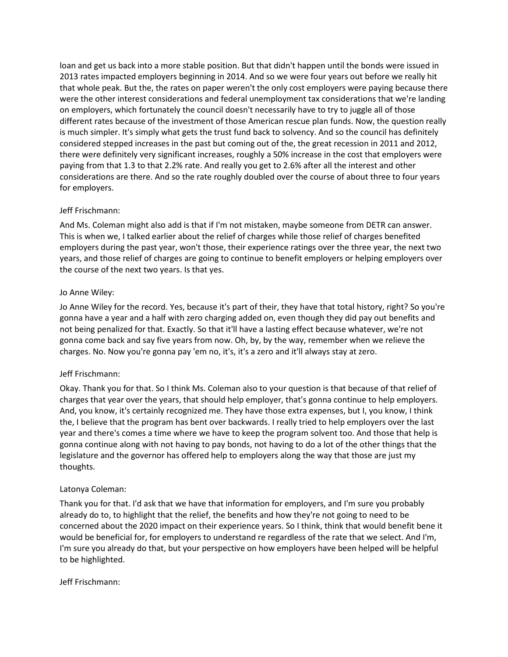loan and get us back into a more stable position. But that didn't happen until the bonds were issued in 2013 rates impacted employers beginning in 2014. And so we were four years out before we really hit that whole peak. But the, the rates on paper weren't the only cost employers were paying because there were the other interest considerations and federal unemployment tax considerations that we're landing on employers, which fortunately the council doesn't necessarily have to try to juggle all of those different rates because of the investment of those American rescue plan funds. Now, the question really is much simpler. It's simply what gets the trust fund back to solvency. And so the council has definitely considered stepped increases in the past but coming out of the, the great recession in 2011 and 2012, there were definitely very significant increases, roughly a 50% increase in the cost that employers were paying from that 1.3 to that 2.2% rate. And really you get to 2.6% after all the interest and other considerations are there. And so the rate roughly doubled over the course of about three to four years for employers.

# Jeff Frischmann:

And Ms. Coleman might also add is that if I'm not mistaken, maybe someone from DETR can answer. This is when we, I talked earlier about the relief of charges while those relief of charges benefited employers during the past year, won't those, their experience ratings over the three year, the next two years, and those relief of charges are going to continue to benefit employers or helping employers over the course of the next two years. Is that yes.

# Jo Anne Wiley:

Jo Anne Wiley for the record. Yes, because it's part of their, they have that total history, right? So you're gonna have a year and a half with zero charging added on, even though they did pay out benefits and not being penalized for that. Exactly. So that it'll have a lasting effect because whatever, we're not gonna come back and say five years from now. Oh, by, by the way, remember when we relieve the charges. No. Now you're gonna pay 'em no, it's, it's a zero and it'll always stay at zero.

# Jeff Frischmann:

Okay. Thank you for that. So I think Ms. Coleman also to your question is that because of that relief of charges that year over the years, that should help employer, that's gonna continue to help employers. And, you know, it's certainly recognized me. They have those extra expenses, but I, you know, I think the, I believe that the program has bent over backwards. I really tried to help employers over the last year and there's comes a time where we have to keep the program solvent too. And those that help is gonna continue along with not having to pay bonds, not having to do a lot of the other things that the legislature and the governor has offered help to employers along the way that those are just my thoughts.

# Latonya Coleman:

Thank you for that. I'd ask that we have that information for employers, and I'm sure you probably already do to, to highlight that the relief, the benefits and how they're not going to need to be concerned about the 2020 impact on their experience years. So I think, think that would benefit bene it would be beneficial for, for employers to understand re regardless of the rate that we select. And I'm, I'm sure you already do that, but your perspective on how employers have been helped will be helpful to be highlighted.

# Jeff Frischmann: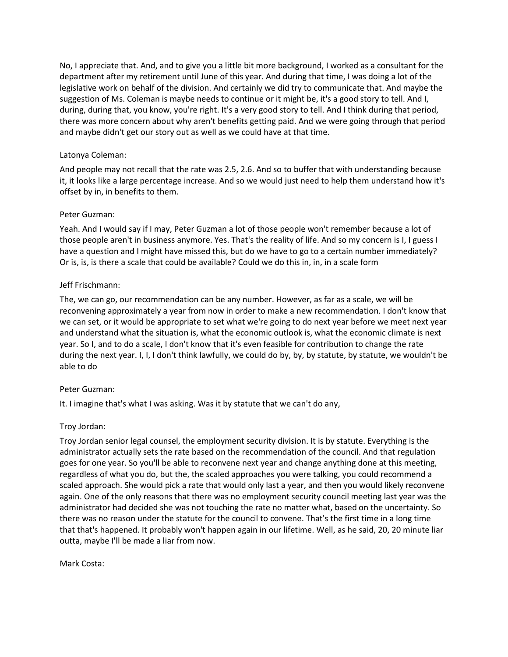No, I appreciate that. And, and to give you a little bit more background, I worked as a consultant for the department after my retirement until June of this year. And during that time, I was doing a lot of the legislative work on behalf of the division. And certainly we did try to communicate that. And maybe the suggestion of Ms. Coleman is maybe needs to continue or it might be, it's a good story to tell. And I, during, during that, you know, you're right. It's a very good story to tell. And I think during that period, there was more concern about why aren't benefits getting paid. And we were going through that period and maybe didn't get our story out as well as we could have at that time.

# Latonya Coleman:

And people may not recall that the rate was 2.5, 2.6. And so to buffer that with understanding because it, it looks like a large percentage increase. And so we would just need to help them understand how it's offset by in, in benefits to them.

# Peter Guzman:

Yeah. And I would say if I may, Peter Guzman a lot of those people won't remember because a lot of those people aren't in business anymore. Yes. That's the reality of life. And so my concern is I, I guess I have a question and I might have missed this, but do we have to go to a certain number immediately? Or is, is, is there a scale that could be available? Could we do this in, in, in a scale form

# Jeff Frischmann:

The, we can go, our recommendation can be any number. However, as far as a scale, we will be reconvening approximately a year from now in order to make a new recommendation. I don't know that we can set, or it would be appropriate to set what we're going to do next year before we meet next year and understand what the situation is, what the economic outlook is, what the economic climate is next year. So I, and to do a scale, I don't know that it's even feasible for contribution to change the rate during the next year. I, I, I don't think lawfully, we could do by, by, by statute, by statute, we wouldn't be able to do

# Peter Guzman:

It. I imagine that's what I was asking. Was it by statute that we can't do any,

# Troy Jordan:

Troy Jordan senior legal counsel, the employment security division. It is by statute. Everything is the administrator actually sets the rate based on the recommendation of the council. And that regulation goes for one year. So you'll be able to reconvene next year and change anything done at this meeting, regardless of what you do, but the, the scaled approaches you were talking, you could recommend a scaled approach. She would pick a rate that would only last a year, and then you would likely reconvene again. One of the only reasons that there was no employment security council meeting last year was the administrator had decided she was not touching the rate no matter what, based on the uncertainty. So there was no reason under the statute for the council to convene. That's the first time in a long time that that's happened. It probably won't happen again in our lifetime. Well, as he said, 20, 20 minute liar outta, maybe I'll be made a liar from now.

Mark Costa: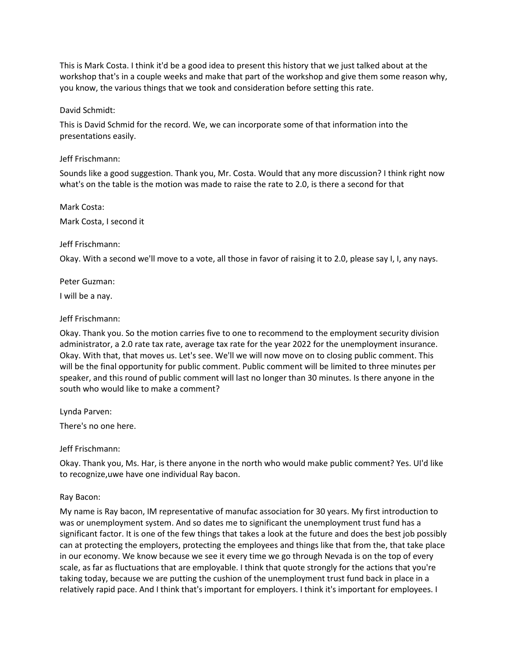This is Mark Costa. I think it'd be a good idea to present this history that we just talked about at the workshop that's in a couple weeks and make that part of the workshop and give them some reason why, you know, the various things that we took and consideration before setting this rate.

## David Schmidt:

This is David Schmid for the record. We, we can incorporate some of that information into the presentations easily.

## Jeff Frischmann:

Sounds like a good suggestion. Thank you, Mr. Costa. Would that any more discussion? I think right now what's on the table is the motion was made to raise the rate to 2.0, is there a second for that

# Mark Costa: Mark Costa, I second it

## Jeff Frischmann:

Okay. With a second we'll move to a vote, all those in favor of raising it to 2.0, please say I, I, any nays.

Peter Guzman:

I will be a nay.

## Jeff Frischmann:

Okay. Thank you. So the motion carries five to one to recommend to the employment security division administrator, a 2.0 rate tax rate, average tax rate for the year 2022 for the unemployment insurance. Okay. With that, that moves us. Let's see. We'll we will now move on to closing public comment. This will be the final opportunity for public comment. Public comment will be limited to three minutes per speaker, and this round of public comment will last no longer than 30 minutes. Is there anyone in the south who would like to make a comment?

Lynda Parven:

There's no one here.

# Jeff Frischmann:

Okay. Thank you, Ms. Har, is there anyone in the north who would make public comment? Yes. UI'd like to recognize,uwe have one individual Ray bacon.

# Ray Bacon:

My name is Ray bacon, IM representative of manufac association for 30 years. My first introduction to was or unemployment system. And so dates me to significant the unemployment trust fund has a significant factor. It is one of the few things that takes a look at the future and does the best job possibly can at protecting the employers, protecting the employees and things like that from the, that take place in our economy. We know because we see it every time we go through Nevada is on the top of every scale, as far as fluctuations that are employable. I think that quote strongly for the actions that you're taking today, because we are putting the cushion of the unemployment trust fund back in place in a relatively rapid pace. And I think that's important for employers. I think it's important for employees. I